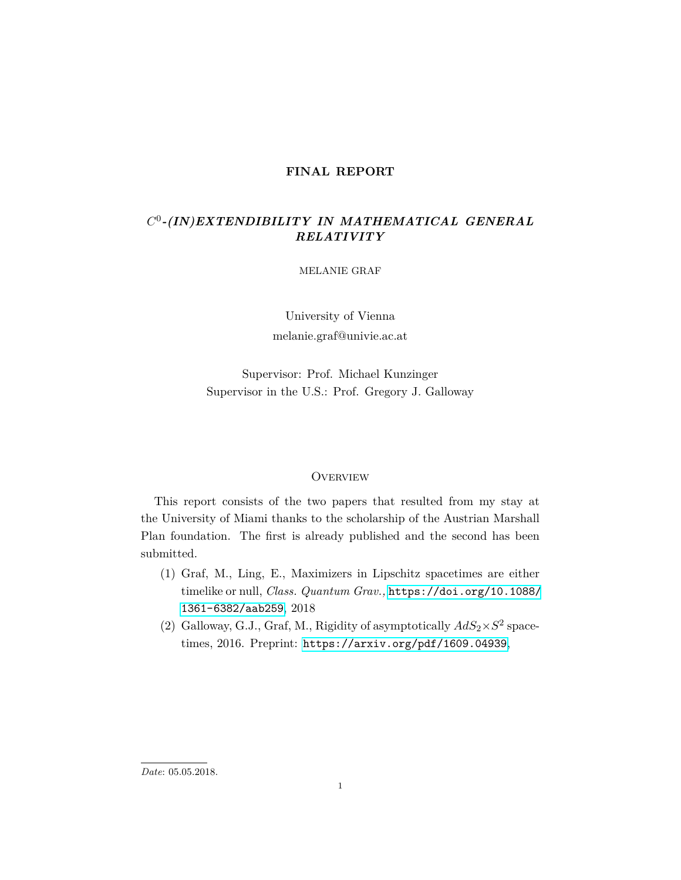#### **FINAL REPORT**

## *C* 0 *-(IN)EXTENDIBILITY IN MATHEMATICAL GENERAL RELATIVITY*

MELANIE GRAF

University of Vienna melanie.graf@univie.ac.at

Supervisor: Prof. Michael Kunzinger Supervisor in the U.S.: Prof. Gregory J. Galloway

#### **OVERVIEW**

This report consists of the two papers that resulted from my stay at the University of Miami thanks to the scholarship of the Austrian Marshall Plan foundation. The first is already published and the second has been submitted.

- (1) Graf, M., Ling, E., Maximizers in Lipschitz spacetimes are either timelike or null, *Class. Quantum Grav.,* [https://doi.org/10.1088/](https://doi.org/10.1088/1361-6382/aab259) [1361-6382/aab259](https://doi.org/10.1088/1361-6382/aab259), 2018
- (2) Galloway, G.J., Graf, M., Rigidity of asymptotically  $AdS_2 \times S^2$  spacetimes, 2016. Preprint: <https://arxiv.org/pdf/1609.04939>,

*Date*: 05.05.2018.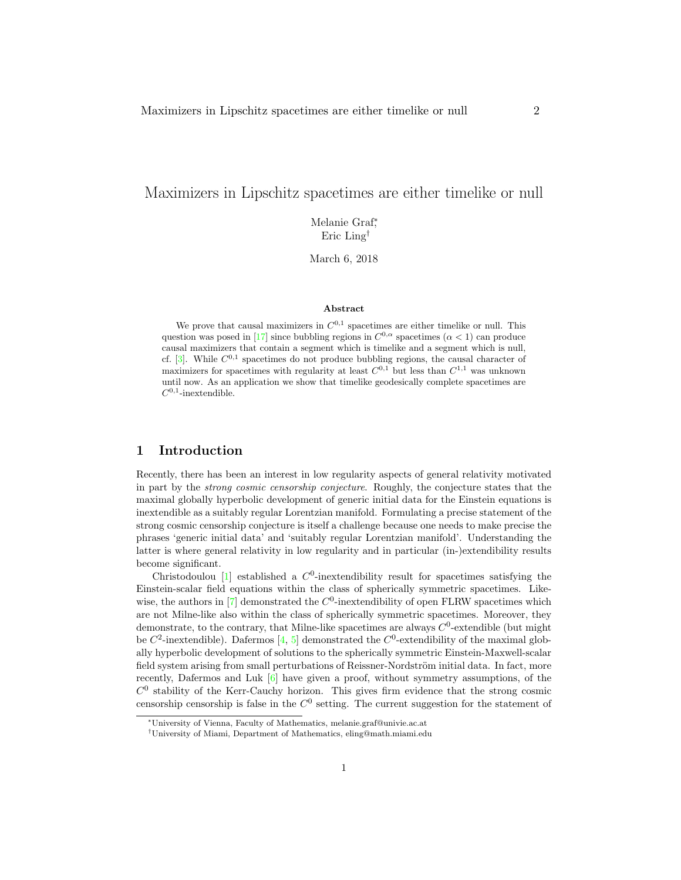### Maximizers in Lipschitz spacetimes are either timelike or null

Melanie Graf<sup>∗</sup> , Eric Ling†

March 6, 2018

#### Abstract

We prove that causal maximizers in  $C^{0,1}$  spacetimes are either timelike or null. This question was posed in [17] since bubbling regions in  $C^{0,\alpha}$  spacetimes  $(\alpha < 1)$  can produce causal maximizers that contain a segment which is timelike and a segment which is null, cf.  $[3]$ . While  $C^{0,1}$  spacetimes do not produce bubbling regions, the causal character of maximizers for spacetimes with regularity at least  $C^{0,1}$  but less than  $C^{1,1}$  was unknown until now. As an application we show that timelike geodesically complete spacetimes are  $C^{0,1}$ -inextendible.

#### 1 Introduction

Recently, there has been an interest in low regularity aspects of general relativity motivated in part by the strong cosmic censorship conjecture. Roughly, the conjecture states that the maximal globally hyperbolic development of generic initial data for the Einstein equations is inextendible as a suitably regular Lorentzian manifold. Formulating a precise statement of the strong cosmic censorship conjecture is itself a challenge because one needs to make precise the phrases 'generic initial data' and 'suitably regular Lorentzian manifold'. Understanding the latter is where general relativity in low regularity and in particular (in-)extendibility results become significant.

Christodoulou [1] established a  $C^0$ -inextendibility result for spacetimes satisfying the Einstein-scalar field equations within the class of spherically symmetric spacetimes. Likewise, the authors in  $[7]$  demonstrated the  $C^0$ -inextendibility of open FLRW spacetimes which are not Milne-like also within the class of spherically symmetric spacetimes. Moreover, they demonstrate, to the contrary, that Milne-like spacetimes are always  $C^0$ -extendible (but might be  $C^2$ -inextendible). Dafermos [4, 5] demonstrated the  $C^0$ -extendibility of the maximal globally hyperbolic development of solutions to the spherically symmetric Einstein-Maxwell-scalar field system arising from small perturbations of Reissner-Nordström initial data. In fact, more recently, Dafermos and Luk  $[6]$  have given a proof, without symmetry assumptions, of the  $C<sup>0</sup>$  stability of the Kerr-Cauchy horizon. This gives firm evidence that the strong cosmic censorship censorship is false in the  $C^0$  setting. The current suggestion for the statement of

<sup>∗</sup>University of Vienna, Faculty of Mathematics, melanie.graf@univie.ac.at

<sup>†</sup>University of Miami, Department of Mathematics, eling@math.miami.edu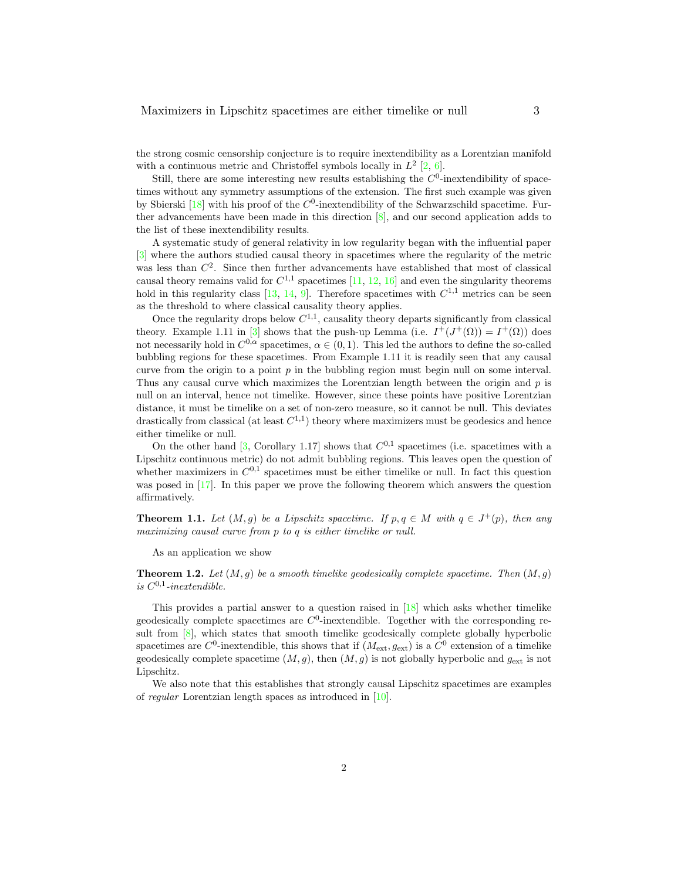the strong cosmic censorship conjecture is to require inextendibility as a Lorentzian manifold with a continuous metric and Christoffel symbols locally in  $L^2$  [2, 6].

Still, there are some interesting new results establishing the  $C^0$ -inextendibility of spacetimes without any symmetry assumptions of the extension. The first such example was given by Sbierski  $[18]$  with his proof of the  $C^0$ -inextendibility of the Schwarzschild spacetime. Further advancements have been made in this direction [8], and our second application adds to the list of these inextendibility results.

A systematic study of general relativity in low regularity began with the influential paper [3] where the authors studied causal theory in spacetimes where the regularity of the metric was less than  $C^2$ . Since then further advancements have established that most of classical causal theory remains valid for  $C^{1,1}$  spacetimes [11, 12, 16] and even the singularity theorems hold in this regularity class [13, 14, 9]. Therefore spacetimes with  $C^{1,1}$  metrics can be seen as the threshold to where classical causality theory applies.

Once the regularity drops below  $C^{1,1}$ , causality theory departs significantly from classical theory. Example 1.11 in [3] shows that the push-up Lemma (i.e.  $I^+(J^+(\Omega)) = I^+(\Omega)$ ) does not necessarily hold in  $C^{0,\alpha}$  spacetimes,  $\alpha \in (0,1)$ . This led the authors to define the so-called bubbling regions for these spacetimes. From Example 1.11 it is readily seen that any causal curve from the origin to a point  $p$  in the bubbling region must begin null on some interval. Thus any causal curve which maximizes the Lorentzian length between the origin and  $p$  is null on an interval, hence not timelike. However, since these points have positive Lorentzian distance, it must be timelike on a set of non-zero measure, so it cannot be null. This deviates drastically from classical (at least  $C^{1,1}$ ) theory where maximizers must be geodesics and hence either timelike or null.

On the other hand [3, Corollary 1.17] shows that  $C^{0,1}$  spacetimes (i.e. spacetimes with a Lipschitz continuous metric) do not admit bubbling regions. This leaves open the question of whether maximizers in  $C^{0,1}$  spacetimes must be either timelike or null. In fact this question was posed in [17]. In this paper we prove the following theorem which answers the question affirmatively.

**Theorem 1.1.** Let  $(M, g)$  be a Lipschitz spacetime. If  $p, q \in M$  with  $q \in J^+(p)$ , then any maximizing causal curve from p to q is either timelike or null.

As an application we show

**Theorem 1.2.** Let  $(M, g)$  be a smooth timelike geodesically complete spacetime. Then  $(M, g)$ is  $C^{0,1}$ -inextendible.

This provides a partial answer to a question raised in [18] which asks whether timelike geodesically complete spacetimes are  $C^0$ -inextendible. Together with the corresponding result from [8], which states that smooth timelike geodesically complete globally hyperbolic spacetimes are  $C^0$ -inextendible, this shows that if  $(M_{\text{ext}}, g_{\text{ext}})$  is a  $C^0$  extension of a timelike geodesically complete spacetime  $(M, g)$ , then  $(M, g)$  is not globally hyperbolic and  $g_{\text{ext}}$  is not Lipschitz.

We also note that this establishes that strongly causal Lipschitz spacetimes are examples of regular Lorentzian length spaces as introduced in [10].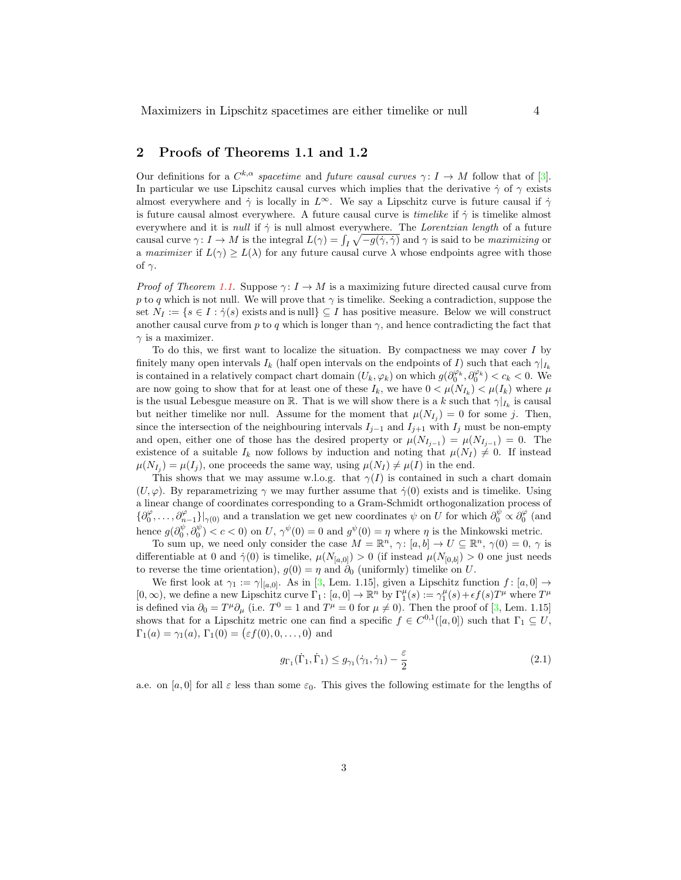#### 2 Proofs of Theorems 1.1 and 1.2

Our definitions for a  $C^{k,\alpha}$  spacetime and future causal curves  $\gamma: I \to M$  follow that of [3]. In particular we use Lipschitz causal curves which implies that the derivative  $\dot{\gamma}$  of  $\gamma$  exists almost everywhere and  $\dot{\gamma}$  is locally in  $L^{\infty}$ . We say a Lipschitz curve is future causal if  $\dot{\gamma}$ is future causal almost everywhere. A future causal curve is *timelike* if  $\dot{\gamma}$  is timelike almost everywhere and it is *null* if  $\dot{\gamma}$  is null almost everywhere. The *Lorentzian length* of a future causal curve  $\gamma: I \to M$  is the integral  $L(\gamma) = \int_I \sqrt{-g(\dot{\gamma}, \dot{\gamma})}$  and  $\gamma$  is said to be *maximizing* or a maximizer if  $L(\gamma) > L(\lambda)$  for any future causal curve  $\lambda$  whose endpoints agree with those of  $\gamma$ .

*Proof of Theorem 1.1.* Suppose  $\gamma: I \to M$  is a maximizing future directed causal curve from p to q which is not null. We will prove that  $\gamma$  is timelike. Seeking a contradiction, suppose the set  $N_I := \{ s \in I : \dot{\gamma}(s) \text{ exists and is null} \} \subseteq I$  has positive measure. Below we will construct another causal curve from p to q which is longer than  $\gamma$ , and hence contradicting the fact that  $\gamma$  is a maximizer.

To do this, we first want to localize the situation. By compactness we may cover  $I$  by finitely many open intervals I<sub>k</sub> (half open intervals on the endpoints of I) such that each  $\gamma|_{I_k}$ is contained in a relatively compact chart domain  $(U_k, \varphi_k)$  on which  $g(\partial_0^{\varphi_k}, \partial_0^{\varphi_k}) < c_k < 0$ . We are now going to show that for at least one of these  $I_k$ , we have  $0 < \mu(N_{I_k}) < \mu(I_k)$  where  $\mu$ is the usual Lebesgue measure on R. That is we will show there is a k such that  $\gamma|_{I_k}$  is causal but neither timelike nor null. Assume for the moment that  $\mu(N_{I_j}) = 0$  for some j. Then, since the intersection of the neighbouring intervals  $I_{j-1}$  and  $I_{j+1}$  with  $I_j$  must be non-empty and open, either one of those has the desired property or  $\mu(N_{I_{j-1}}) = \mu(N_{I_{j-1}}) = 0$ . The existence of a suitable  $I_k$  now follows by induction and noting that  $\mu(N_I) \neq 0$ . If instead  $\mu(N_{I_j}) = \mu(I_j)$ , one proceeds the same way, using  $\mu(N_I) \neq \mu(I)$  in the end.

This shows that we may assume w.l.o.g. that  $\gamma(I)$  is contained in such a chart domain  $(U, \varphi)$ . By reparametrizing  $\gamma$  we may further assume that  $\dot{\gamma}(0)$  exists and is timelike. Using a linear change of coordinates corresponding to a Gram-Schmidt orthogonalization process of  $\{\partial_0^{\varphi},\ldots,\partial_{n-1}^{\varphi}\}\big|_{\gamma(0)}$  and a translation we get new coordinates  $\psi$  on U for which  $\partial_0^{\psi} \propto \partial_0^{\varphi}$  (and hence  $g(\partial_0^{\psi}, \partial_0^{\psi}) < c < 0$  on U,  $\gamma^{\psi}(0) = 0$  and  $g^{\psi}(0) = \eta$  where  $\eta$  is the Minkowski metric.

To sum up, we need only consider the case  $M = \mathbb{R}^n$ ,  $\gamma: [a, b] \to U \subseteq \mathbb{R}^n$ ,  $\gamma(0) = 0$ ,  $\gamma$  is differentiable at 0 and  $\dot{\gamma}(0)$  is timelike,  $\mu(N_{[a,0]}) > 0$  (if instead  $\mu(N_{[0,b]}) > 0$  one just needs to reverse the time orientation),  $g(0) = \eta$  and  $\partial_0$  (uniformly) timelike on U.

We first look at  $\gamma_1 := \gamma|_{[a,0]}$ . As in [3, Lem. 1.15], given a Lipschitz function  $f : [a, 0] \rightarrow$  $[0,\infty)$ , we define a new Lipschitz curve  $\Gamma_1: [a,0] \to \mathbb{R}^n$  by  $\Gamma_1^{\mu}(s) := \gamma_1^{\mu}(s) + \epsilon f(s)T^{\mu}$  where  $T^{\mu}$ is defined via  $\partial_0 = T^{\mu} \partial_{\mu}$  (i.e.  $T^0 = 1$  and  $T^{\mu} = 0$  for  $\mu \neq 0$ ). Then the proof of [3, Lem. 1.15] shows that for a Lipschitz metric one can find a specific  $f \in C^{0,1}([a,0])$  such that  $\Gamma_1 \subseteq U$ ,  $\Gamma_1(a) = \gamma_1(a), \Gamma_1(0) = (\varepsilon f(0), 0, \dots, 0)$  and

$$
g_{\Gamma_1}(\dot{\Gamma}_1, \dot{\Gamma}_1) \le g_{\gamma_1}(\dot{\gamma}_1, \dot{\gamma}_1) - \frac{\varepsilon}{2}
$$
\n(2.1)

a.e. on [a, 0] for all  $\varepsilon$  less than some  $\varepsilon_0$ . This gives the following estimate for the lengths of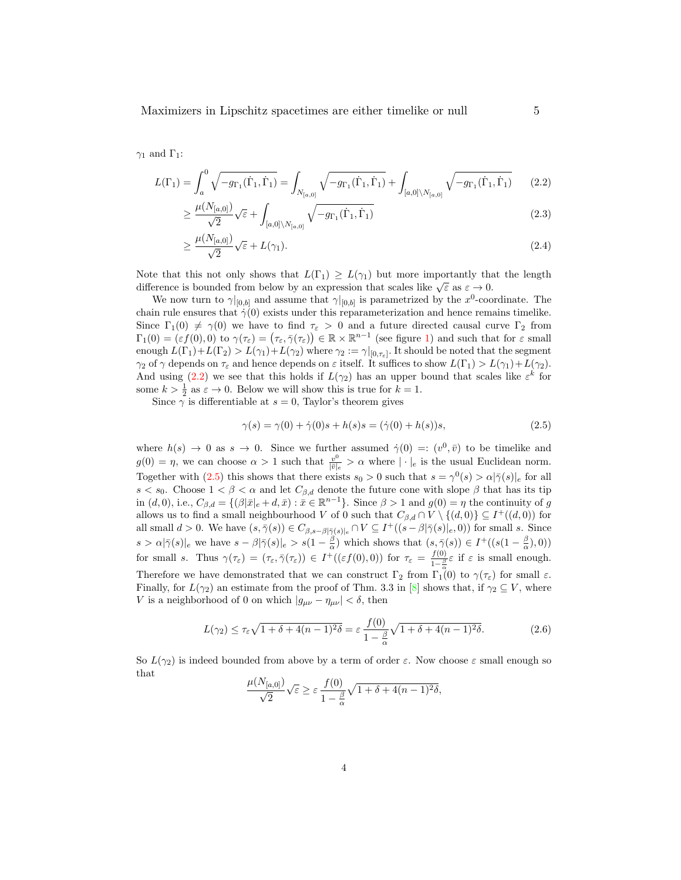Maximizers in Lipschitz spacetimes are either timelike or null 5

 $\gamma_1$  and  $\Gamma_1$ :

$$
L(\Gamma_1) = \int_a^0 \sqrt{-g_{\Gamma_1}(\dot{\Gamma}_1, \dot{\Gamma}_1)} = \int_{N_{[a,0]}} \sqrt{-g_{\Gamma_1}(\dot{\Gamma}_1, \dot{\Gamma}_1)} + \int_{[a,0] \backslash N_{[a,0]}} \sqrt{-g_{\Gamma_1}(\dot{\Gamma}_1, \dot{\Gamma}_1)} \tag{2.2}
$$

$$
\geq \frac{\mu(N_{[a,0]})}{\sqrt{2}} \sqrt{\varepsilon} + \int_{[a,0] \setminus N_{[a,0]}} \sqrt{-g_{\Gamma_1}(\dot{\Gamma}_1, \dot{\Gamma}_1)}
$$
(2.3)

$$
\geq \frac{\mu(N_{[a,0]})}{\sqrt{2}} \sqrt{\varepsilon} + L(\gamma_1). \tag{2.4}
$$

Note that this not only shows that  $L(\Gamma_1) \geq L(\gamma_1)$  but more importantly that the length difference is bounded from below by an expression that scales like  $\sqrt{\varepsilon}$  as  $\varepsilon \to 0$ .

We now turn to  $\gamma|_{[0,b]}$  and assume that  $\gamma|_{[0,b]}$  is parametrized by the  $x^0$ -coordinate. The chain rule ensures that  $\dot{\gamma}(0)$  exists under this reparameterization and hence remains timelike. Since  $\Gamma_1(0) \neq \gamma(0)$  we have to find  $\tau_{\varepsilon} > 0$  and a future directed causal curve  $\Gamma_2$  from  $\Gamma_1(0) = (\varepsilon f(0), 0)$  to  $\gamma(\tau_{\varepsilon}) = (\tau_{\varepsilon}, \bar{\gamma}(\tau_{\varepsilon})) \in \mathbb{R} \times \mathbb{R}^{n-1}$  (see figure 1) and such that for  $\varepsilon$  small enough  $L(\Gamma_1)+L(\Gamma_2) > L(\gamma_1)+L(\gamma_2)$  where  $\gamma_2 := \gamma|_{[0,\tau_{\varepsilon}]}$ . It should be noted that the segment  $\gamma_2$  of  $\gamma$  depends on  $\tau_{\varepsilon}$  and hence depends on  $\varepsilon$  itself. It suffices to show  $L(\Gamma_1) > L(\gamma_1) + L(\gamma_2)$ . And using (2.2) we see that this holds if  $L(\gamma_2)$  has an upper bound that scales like  $\varepsilon^k$  for some  $k > \frac{1}{2}$  as  $\varepsilon \to 0$ . Below we will show this is true for  $k = 1$ .

Since  $\gamma$  is differentiable at  $s = 0$ , Taylor's theorem gives

$$
\gamma(s) = \gamma(0) + \dot{\gamma}(0)s + h(s)s = (\dot{\gamma}(0) + h(s))s,
$$
\n(2.5)

where  $h(s) \to 0$  as  $s \to 0$ . Since we further assumed  $\dot{\gamma}(0) =: (v^0, \bar{v})$  to be timelike and  $g(0) = \eta$ , we can choose  $\alpha > 1$  such that  $\frac{v^0}{|\overline{v}|_e} > \alpha$  where  $|\cdot|_e$  is the usual Euclidean norm. Together with (2.5) this shows that there exists  $s_0 > 0$  such that  $s = \gamma^0(s) > \alpha |\bar{\gamma}(s)|_e$  for all s  $s < s_0$ . Choose  $1 < \beta < \alpha$  and let  $C_{\beta,d}$  denote the future cone with slope  $\beta$  that has its tip in  $(d, 0)$ , i.e.,  $C_{\beta,d} = \{(\beta|\bar{x}|_e + d, \bar{x}) : \bar{x} \in \mathbb{R}^{n-1}\}\.$  Since  $\beta > 1$  and  $g(0) = \eta$  the continuity of g allows us to find a small neighbourhood V of 0 such that  $C_{\beta,d} \cap V \setminus \{(d,0)\} \subseteq I^+((d,0))$  for all small  $d > 0$ . We have  $(s, \overline{\gamma}(s)) \in C_{\beta,s-\beta|\overline{\gamma}(s)|_e} \cap V \subseteq I^+((s-\beta|\overline{\gamma}(s)|_e, 0))$  for small s. Since  $s > \alpha |\bar{\gamma}(s)|_e$  we have  $s - \beta |\bar{\gamma}(s)|_e > s(1 - \frac{\beta}{\alpha})$  which shows that  $(s, \bar{\gamma}(s)) \in I^+((s(1 - \frac{\beta}{\alpha}), 0))$ for small s. Thus  $\gamma(\tau_{\varepsilon}) = (\tau_{\varepsilon}, \bar{\gamma}(\tau_{\varepsilon})) \in I^+((\varepsilon f(0), 0))$  for  $\tau_{\varepsilon} = \frac{f(0)}{1-\varepsilon}$  $\frac{f(0)}{1-\frac{\beta}{\alpha}}\varepsilon$  if  $\varepsilon$  is small enough. Therefore we have demonstrated that we can construct  $\Gamma_2$  from  $\Gamma_1^{\alpha}(0)$  to  $\gamma(\tau_{\varepsilon})$  for small  $\varepsilon$ . Finally, for  $L(\gamma_2)$  an estimate from the proof of Thm. 3.3 in [8] shows that, if  $\gamma_2 \subseteq V$ , where V is a neighborhood of 0 on which  $|g_{\mu\nu} - \eta_{\mu\nu}| < \delta$ , then

$$
L(\gamma_2) \le \tau_{\varepsilon} \sqrt{1 + \delta + 4(n - 1)^2 \delta} = \varepsilon \frac{f(0)}{1 - \frac{\beta}{\alpha}} \sqrt{1 + \delta + 4(n - 1)^2 \delta}.
$$
 (2.6)

So  $L(\gamma_2)$  is indeed bounded from above by a term of order  $\varepsilon$ . Now choose  $\varepsilon$  small enough so that

$$
\frac{\mu(N_{[a,0]})}{\sqrt{2}}\sqrt{\varepsilon} \geq \varepsilon \frac{f(0)}{1-\frac{\beta}{\alpha}}\sqrt{1+\delta+4(n-1)^2\delta},
$$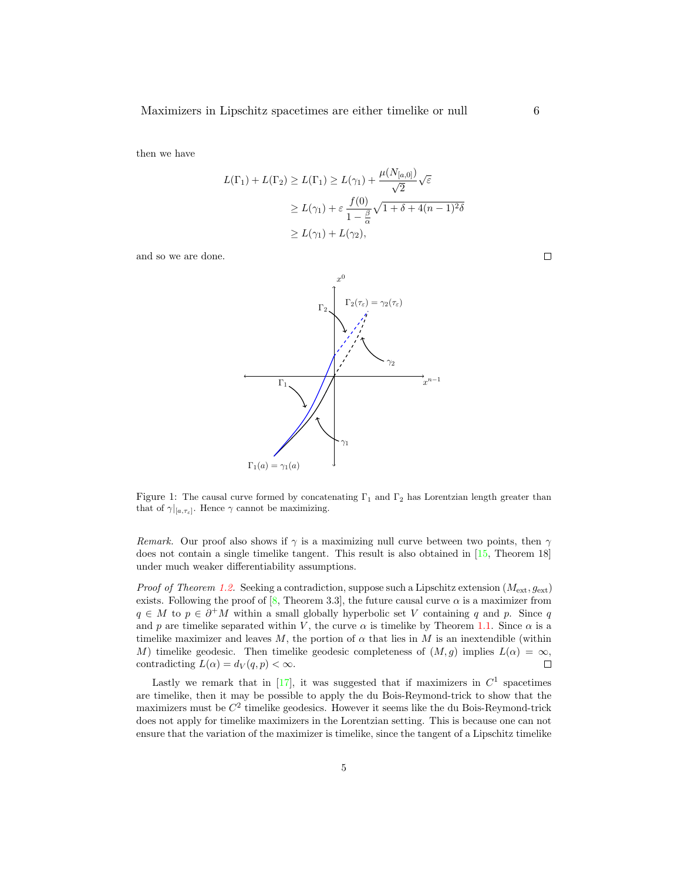then we have

$$
L(\Gamma_1) + L(\Gamma_2) \ge L(\Gamma_1) \ge L(\gamma_1) + \frac{\mu(N_{[a,0]})}{\sqrt{2}} \sqrt{\varepsilon}
$$
  
 
$$
\ge L(\gamma_1) + \varepsilon \frac{f(0)}{1 - \frac{\beta}{\alpha}} \sqrt{1 + \delta + 4(n - 1)^2 \delta}
$$
  
 
$$
\ge L(\gamma_1) + L(\gamma_2),
$$

and so we are done.



Figure 1: The causal curve formed by concatenating  $\Gamma_1$  and  $\Gamma_2$  has Lorentzian length greater than that of  $\gamma|_{[a,\tau_{\varepsilon}]}$ . Hence  $\gamma$  cannot be maximizing.

Remark. Our proof also shows if  $\gamma$  is a maximizing null curve between two points, then  $\gamma$ does not contain a single timelike tangent. This result is also obtained in [15, Theorem 18] under much weaker differentiability assumptions.

*Proof of Theorem 1.2.* Seeking a contradiction, suppose such a Lipschitz extension  $(M_{ext}, g_{ext})$ exists. Following the proof of [8, Theorem 3.3], the future causal curve  $\alpha$  is a maximizer from  $q \in M$  to  $p \in \partial^+M$  within a small globally hyperbolic set V containing q and p. Since q and p are timelike separated within V, the curve  $\alpha$  is timelike by Theorem 1.1. Since  $\alpha$  is a timelike maximizer and leaves M, the portion of  $\alpha$  that lies in M is an inextendible (within M) timelike geodesic. Then timelike geodesic completeness of  $(M, g)$  implies  $L(\alpha) = \infty$ , contradicting  $L(\alpha) = d_V(q, p) < \infty$ . contradicting  $L(\alpha) = d_V(q, p) < \infty$ .

Lastly we remark that in [17], it was suggested that if maximizers in  $C<sup>1</sup>$  spacetimes are timelike, then it may be possible to apply the du Bois-Reymond-trick to show that the maximizers must be  $C^2$  timelike geodesics. However it seems like the du Bois-Reymond-trick does not apply for timelike maximizers in the Lorentzian setting. This is because one can not ensure that the variation of the maximizer is timelike, since the tangent of a Lipschitz timelike

 $\Box$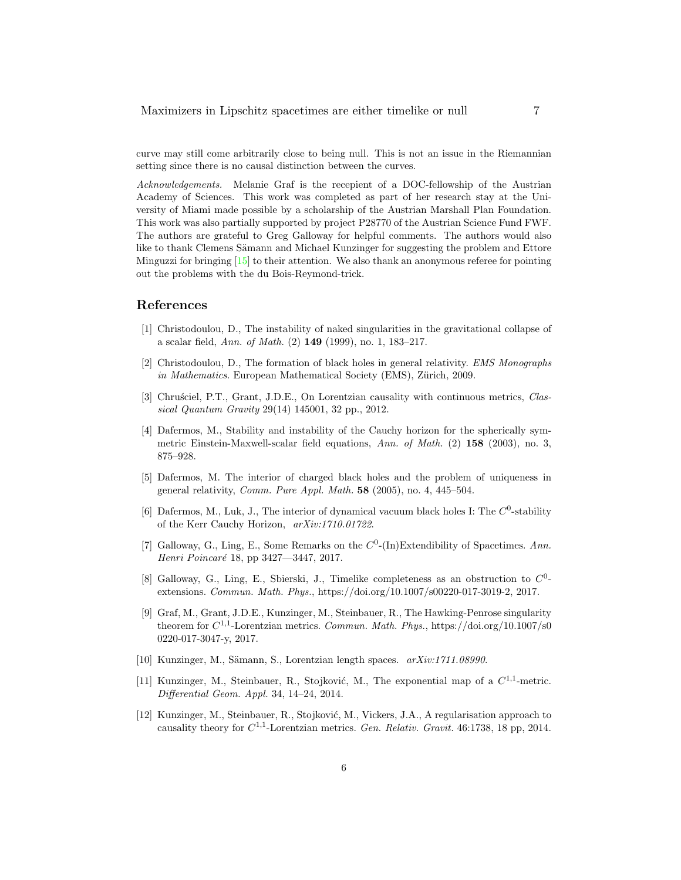curve may still come arbitrarily close to being null. This is not an issue in the Riemannian setting since there is no causal distinction between the curves.

Acknowledgements. Melanie Graf is the recepient of a DOC-fellowship of the Austrian Academy of Sciences. This work was completed as part of her research stay at the University of Miami made possible by a scholarship of the Austrian Marshall Plan Foundation. This work was also partially supported by project P28770 of the Austrian Science Fund FWF. The authors are grateful to Greg Galloway for helpful comments. The authors would also like to thank Clemens Sämann and Michael Kunzinger for suggesting the problem and Ettore Minguzzi for bringing  $[15]$  to their attention. We also thank an anonymous referee for pointing out the problems with the du Bois-Reymond-trick.

#### References

- [1] Christodoulou, D., The instability of naked singularities in the gravitational collapse of a scalar field, Ann. of Math. (2) 149 (1999), no. 1, 183–217.
- [2] Christodoulou, D., The formation of black holes in general relativity. EMS Monographs in Mathematics. European Mathematical Society (EMS), Zürich, 2009.
- [3] Chrusciel, P.T., Grant, J.D.E., On Lorentzian causality with continuous metrics, Classical Quantum Gravity 29(14) 145001, 32 pp., 2012.
- [4] Dafermos, M., Stability and instability of the Cauchy horizon for the spherically symmetric Einstein-Maxwell-scalar field equations, Ann. of Math. (2) 158 (2003), no. 3, 875–928.
- [5] Dafermos, M. The interior of charged black holes and the problem of uniqueness in general relativity, Comm. Pure Appl. Math. 58 (2005), no. 4, 445–504.
- [6] Dafermos, M., Luk, J., The interior of dynamical vacuum black holes I: The  $C^0$ -stability of the Kerr Cauchy Horizon, arXiv:1710.01722.
- [7] Galloway, G., Ling, E., Some Remarks on the  $C^0$ -(In)Extendibility of Spacetimes. Ann. Henri Poincaré 18, pp 3427—3447, 2017.
- [8] Galloway, G., Ling, E., Sbierski, J., Timelike completeness as an obstruction to  $C^0$ extensions. Commun. Math. Phys., https://doi.org/10.1007/s00220-017-3019-2, 2017.
- [9] Graf, M., Grant, J.D.E., Kunzinger, M., Steinbauer, R., The Hawking-Penrose singularity theorem for  $C^{1,1}$ -Lorentzian metrics. Commun. Math. Phys., https://doi.org/10.1007/s0 0220-017-3047-y, 2017.
- [10] Kunzinger, M., Sämann, S., Lorentzian length spaces.  $arXiv:1711.08990$ .
- [11] Kunzinger, M., Steinbauer, R., Stojković, M., The exponential map of a  $C^{1,1}$ -metric. Differential Geom. Appl. 34, 14–24, 2014.
- [12] Kunzinger, M., Steinbauer, R., Stojković, M., Vickers, J.A., A regularisation approach to causality theory for  $C^{1,1}$ -Lorentzian metrics. Gen. Relativ. Gravit. 46:1738, 18 pp, 2014.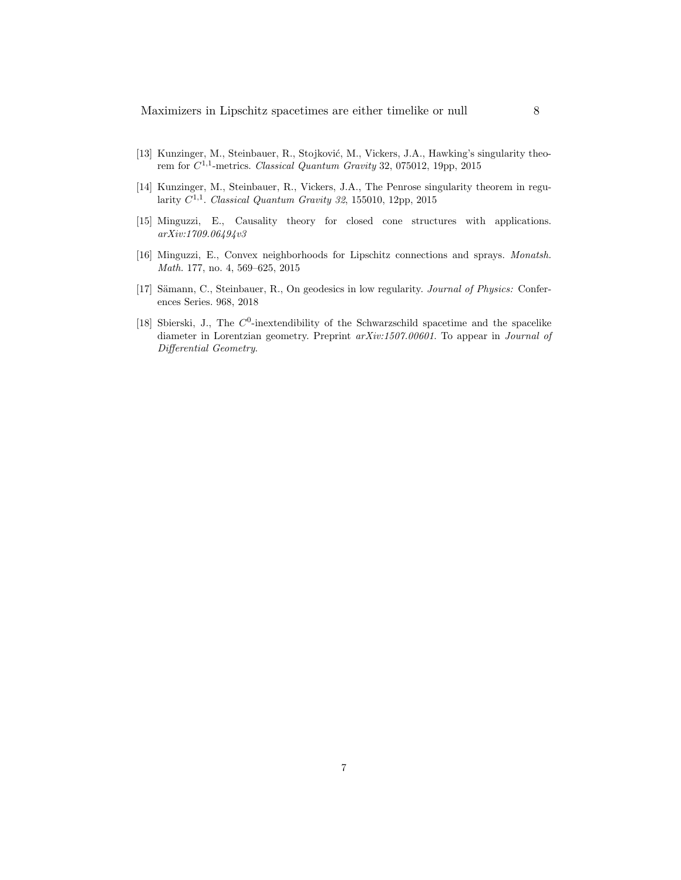- [13] Kunzinger, M., Steinbauer, R., Stojković, M., Vickers, J.A., Hawking's singularity theorem for  $C^{1,1}$ -metrics. Classical Quantum Gravity 32, 075012, 19pp, 2015
- [14] Kunzinger, M., Steinbauer, R., Vickers, J.A., The Penrose singularity theorem in regularity  $C^{1,1}$ . Classical Quantum Gravity 32, 155010, 12pp, 2015
- [15] Minguzzi, E., Causality theory for closed cone structures with applications. arXiv:1709.06494v3
- [16] Minguzzi, E., Convex neighborhoods for Lipschitz connections and sprays. Monatsh. Math. 177, no. 4, 569–625, 2015
- [17] Sämann, C., Steinbauer, R., On geodesics in low regularity. Journal of Physics: Conferences Series. 968, 2018
- [18] Sbierski, J., The  $C^0$ -inextendibility of the Schwarzschild spacetime and the spacelike diameter in Lorentzian geometry. Preprint arXiv:1507.00601. To appear in Journal of Differential Geometry.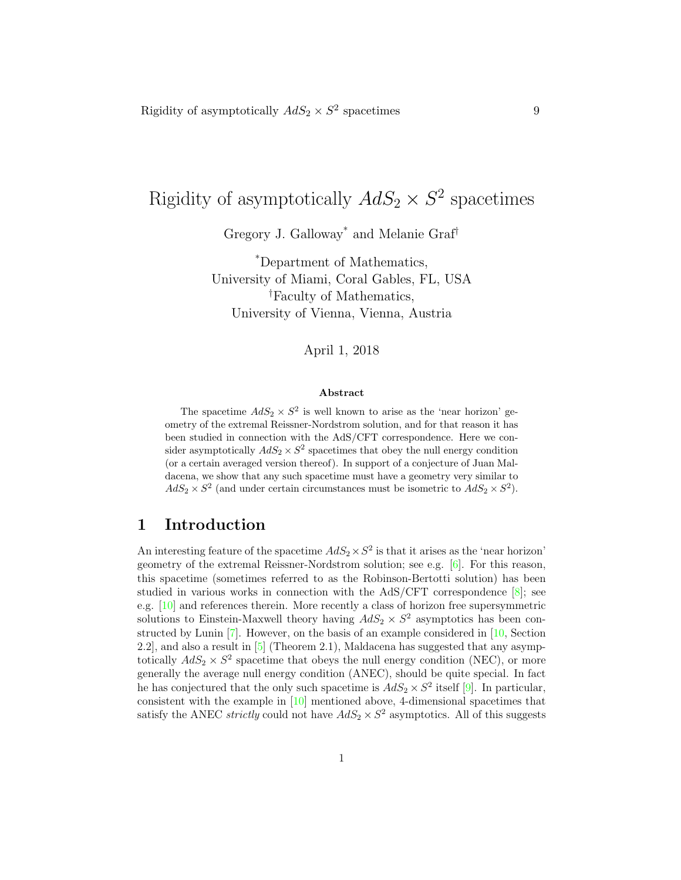# Rigidity of asymptotically  $AdS_2 \times S^2$  spacetimes

Gregory J. Galloway\* and Melanie Graf†

\*Department of Mathematics, University of Miami, Coral Gables, FL, USA †Faculty of Mathematics, University of Vienna, Vienna, Austria

#### April 1, 2018

#### Abstract

The spacetime  $AdS_2 \times S^2$  is well known to arise as the 'near horizon' geometry of the extremal Reissner-Nordstrom solution, and for that reason it has been studied in connection with the AdS/CFT correspondence. Here we consider asymptotically  $AdS_2 \times S^2$  spacetimes that obey the null energy condition (or a certain averaged version thereof). In support of a conjecture of Juan Maldacena, we show that any such spacetime must have a geometry very similar to  $AdS_2 \times S^2$  (and under certain circumstances must be isometric to  $AdS_2 \times S^2$ ).

# 1 Introduction

An interesting feature of the spacetime  $AdS_2 \times S^2$  is that it arises as the 'near horizon' geometry of the extremal Reissner-Nordstrom solution; see e.g. [6]. For this reason, this spacetime (sometimes referred to as the Robinson-Bertotti solution) has been studied in various works in connection with the  $AdS/CFT$  correspondence  $[8]$ ; see e.g. [10] and references therein. More recently a class of horizon free supersymmetric solutions to Einstein-Maxwell theory having  $AdS_2 \times S^2$  asymptotics has been constructed by Lunin [7]. However, on the basis of an example considered in [10, Section 2.2], and also a result in [5] (Theorem 2.1), Maldacena has suggested that any asymptotically  $AdS_2 \times S^2$  spacetime that obeys the null energy condition (NEC), or more generally the average null energy condition (ANEC), should be quite special. In fact he has conjectured that the only such spacetime is  $AdS_2 \times S^2$  itself [9]. In particular, consistent with the example in [10] mentioned above, 4-dimensional spacetimes that satisfy the ANEC *strictly* could not have  $AdS_2 \times S^2$  asymptotics. All of this suggests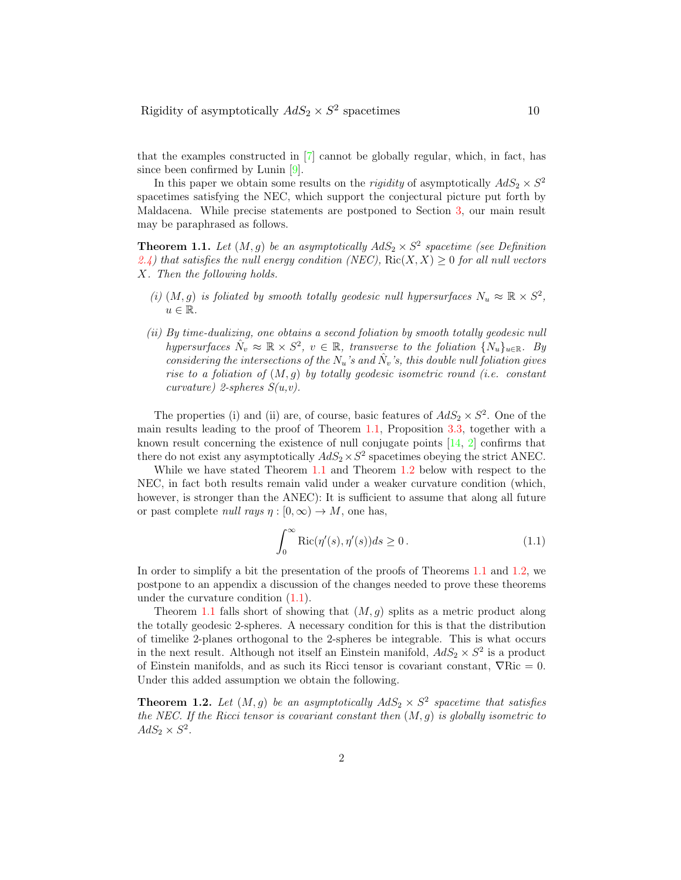that the examples constructed in [7] cannot be globally regular, which, in fact, has since been confirmed by Lunin [9].

In this paper we obtain some results on the *rigidity* of asymptotically  $AdS_2 \times S^2$ spacetimes satisfying the NEC, which support the conjectural picture put forth by Maldacena. While precise statements are postponed to Section 3, our main result may be paraphrased as follows.

**Theorem 1.1.** Let  $(M, g)$  be an asymptotically  $AdS_2 \times S^2$  spacetime (see Definition 2.4) that satisfies the null energy condition (NEC),  $\text{Ric}(X, X) \geq 0$  for all null vectors X. Then the following holds.

- (i)  $(M, g)$  is foliated by smooth totally geodesic null hypersurfaces  $N_u \approx \mathbb{R} \times S^2$ ,  $u \in \mathbb{R}$ .
- (ii) By time-dualizing, one obtains a second foliation by smooth totally geodesic null hypersurfaces  $\hat{N}_v \approx \mathbb{R} \times S^2$ ,  $v \in \mathbb{R}$ , transverse to the foliation  $\{N_u\}_{u \in \mathbb{R}}$ . By considering the intersections of the  $N_u$ 's and  $\hat{N}_v$ 's, this double null foliation gives rise to a foliation of  $(M, q)$  by totally geodesic isometric round (i.e. constant curvature) 2-spheres  $S(u, v)$ .

The properties (i) and (ii) are, of course, basic features of  $AdS_2 \times S^2$ . One of the main results leading to the proof of Theorem 1.1, Proposition 3.3, together with a known result concerning the existence of null conjugate points  $[14, 2]$  confirms that there do not exist any asymptotically  $AdS_2 \times S^2$  spacetimes obeying the strict ANEC.

While we have stated Theorem 1.1 and Theorem 1.2 below with respect to the NEC, in fact both results remain valid under a weaker curvature condition (which, however, is stronger than the ANEC): It is sufficient to assume that along all future or past complete *null rays*  $\eta : [0, \infty) \to M$ , one has,

$$
\int_0^\infty \text{Ric}(\eta'(s), \eta'(s))ds \ge 0.
$$
 (1.1)

In order to simplify a bit the presentation of the proofs of Theorems 1.1 and 1.2, we postpone to an appendix a discussion of the changes needed to prove these theorems under the curvature condition (1.1).

Theorem 1.1 falls short of showing that  $(M, q)$  splits as a metric product along the totally geodesic 2-spheres. A necessary condition for this is that the distribution of timelike 2-planes orthogonal to the 2-spheres be integrable. This is what occurs in the next result. Although not itself an Einstein manifold,  $AdS_2 \times S^2$  is a product of Einstein manifolds, and as such its Ricci tensor is covariant constant,  $\nabla$ Ric = 0. Under this added assumption we obtain the following.

**Theorem 1.2.** Let  $(M, g)$  be an asymptotically  $AdS_2 \times S^2$  spacetime that satisfies the NEC. If the Ricci tensor is covariant constant then  $(M, g)$  is globally isometric to  $AdS_2 \times S^2$ .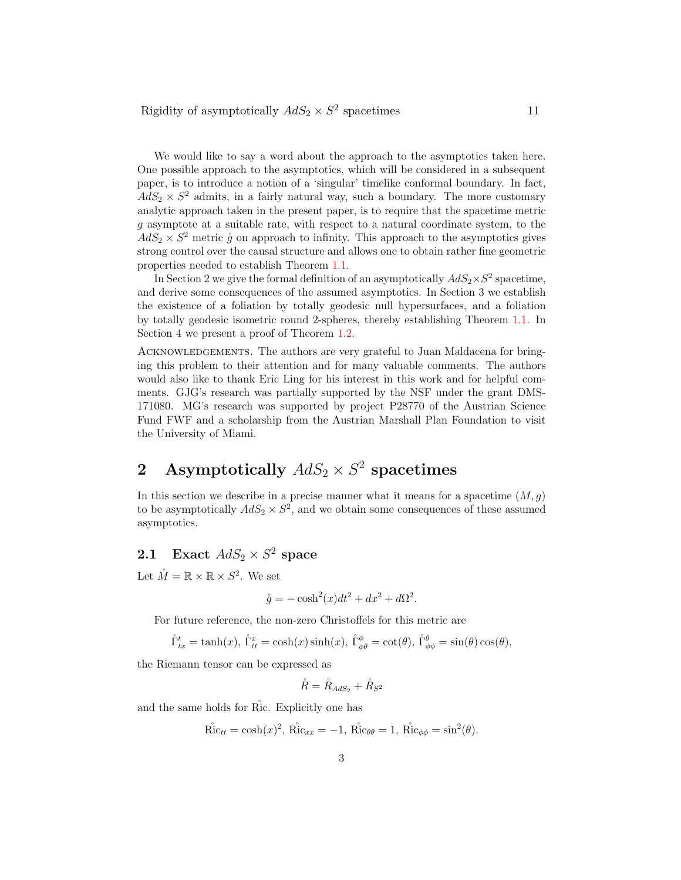We would like to say a word about the approach to the asymptotics taken here. One possible approach to the asymptotics, which will be considered in a subsequent paper, is to introduce a notion of a 'singular' timelike conformal boundary. In fact,  $AdS_2 \times S^2$  admits, in a fairly natural way, such a boundary. The more customary analytic approach taken in the present paper, is to require that the spacetime metric g asymptote at a suitable rate, with respect to a natural coordinate system, to the  $AdS_2 \times S^2$  metric  $\mathring{g}$  on approach to infinity. This approach to the asymptotics gives strong control over the causal structure and allows one to obtain rather fine geometric properties needed to establish Theorem 1.1.

In Section 2 we give the formal definition of an asymptotically  $AdS_2 \times S^2$  spacetime, and derive some consequences of the assumed asymptotics. In Section 3 we establish the existence of a foliation by totally geodesic null hypersurfaces, and a foliation by totally geodesic isometric round 2-spheres, thereby establishing Theorem 1.1. In Section 4 we present a proof of Theorem 1.2.

ACKNOWLEDGEMENTS. The authors are very grateful to Juan Maldacena for bringing this problem to their attention and for many valuable comments. The authors would also like to thank Eric Ling for his interest in this work and for helpful comments. GJG's research was partially supported by the NSF under the grant DMS-171080. MG's research was supported by project P28770 of the Austrian Science Fund FWF and a scholarship from the Austrian Marshall Plan Foundation to visit the University of Miami.

# 2 Asymptotically  $AdS_2 \times S^2$  spacetimes

In this section we describe in a precise manner what it means for a spacetime  $(M, g)$ to be asymptotically  $AdS_2 \times S^2$ , and we obtain some consequences of these assumed asymptotics.

# **2.1** Exact  $AdS_2 \times S^2$  space

Let  $\mathring{M} = \mathbb{R} \times \mathbb{R} \times S^2$ . We set

$$
\mathring{g} = -\cosh^2(x)dt^2 + dx^2 + d\Omega^2.
$$

For future reference, the non-zero Christoffels for this metric are

$$
\mathring{\Gamma}_{tx}^t = \tanh(x), \, \mathring{\Gamma}_{tt}^x = \cosh(x)\sinh(x), \, \mathring{\Gamma}_{\phi\theta}^{\phi} = \cot(\theta), \, \mathring{\Gamma}_{\phi\phi}^{\theta} = \sin(\theta)\cos(\theta),
$$

the Riemann tensor can be expressed as

$$
\mathring{R}=\mathring{R}_{AdS_2}+\mathring{R}_{S^2}
$$

and the same holds for Ric. Explicitly one has

$$
\mathring{\mathrm{Ric}}_{tt} = \cosh(x)^2, \mathring{\mathrm{Ric}}_{xx} = -1, \mathring{\mathrm{Ric}}_{\theta\theta} = 1, \mathring{\mathrm{Ric}}_{\phi\phi} = \sin^2(\theta).
$$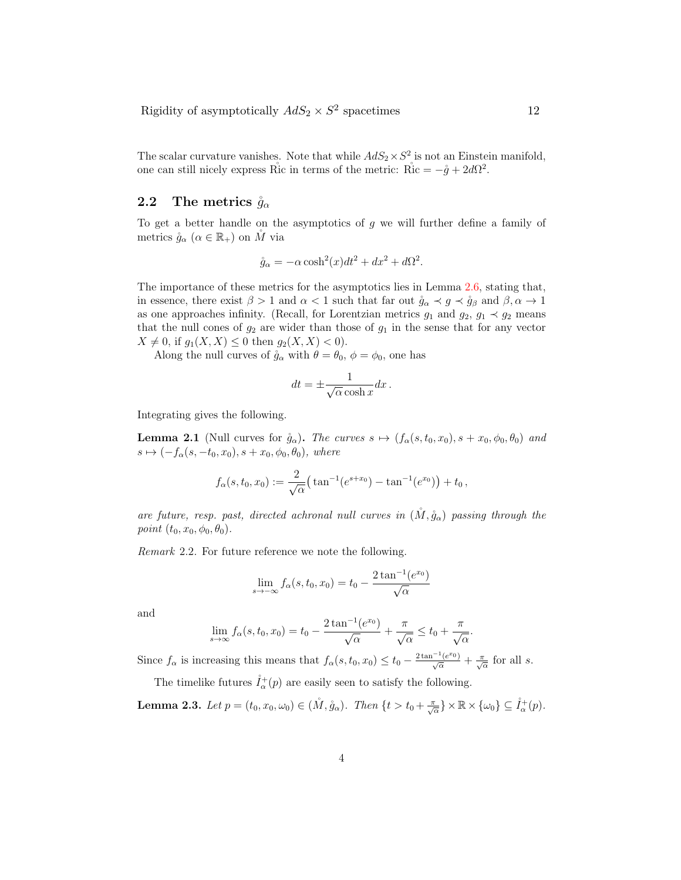The scalar curvature vanishes. Note that while  $AdS_2 \times S^2$  is not an Einstein manifold, one can still nicely express Ric in terms of the metric:  $\mathring{Ric} = -\mathring{g} + 2d\Omega^2$ .

#### 2.2 The metrics  $\mathring{g}_{\alpha}$

To get a better handle on the asymptotics of  $q$  we will further define a family of metrics  $\mathring{g}_{\alpha}$   $(\alpha \in \mathbb{R}_{+})$  on M via

$$
\mathring{g}_{\alpha} = -\alpha \cosh^2(x)dt^2 + dx^2 + d\Omega^2.
$$

The importance of these metrics for the asymptotics lies in Lemma 2.6, stating that, in essence, there exist  $\beta > 1$  and  $\alpha < 1$  such that far out  $\mathring{g}_{\alpha} \prec g \prec \mathring{g}_{\beta}$  and  $\beta, \alpha \to 1$ as one approaches infinity. (Recall, for Lorentzian metrics  $g_1$  and  $g_2$ ,  $g_1 \prec g_2$  means that the null cones of  $g_2$  are wider than those of  $g_1$  in the sense that for any vector  $X \neq 0$ , if  $g_1(X, X) \leq 0$  then  $g_2(X, X) < 0$ .

Along the null curves of  $\mathring{g}_{\alpha}$  with  $\theta = \theta_0$ ,  $\phi = \phi_0$ , one has

$$
dt = \pm \frac{1}{\sqrt{\alpha} \cosh x} dx \, .
$$

Integrating gives the following.

**Lemma 2.1** (Null curves for  $\mathring{g}_{\alpha}$ ). The curves  $s \mapsto (f_{\alpha}(s, t_0, x_0), s + x_0, \phi_0, \theta_0)$  and  $s \mapsto (-f_{\alpha}(s, -t_0, x_0), s + x_0, \phi_0, \theta_0),$  where

$$
f_{\alpha}(s,t_0,x_0):=\frac{2}{\sqrt{\alpha}}\big(\tan^{-1}(e^{s+x_0})-\tan^{-1}(e^{x_0})\big)+t_0,
$$

are future, resp. past, directed achronal null curves in  $(M, \mathring{g}_{\alpha})$  passing through the point  $(t_0, x_0, \phi_0, \theta_0)$ .

Remark 2.2. For future reference we note the following.

$$
\lim_{s \to -\infty} f_{\alpha}(s, t_0, x_0) = t_0 - \frac{2 \tan^{-1}(e^{x_0})}{\sqrt{\alpha}}
$$

and

$$
\lim_{s \to \infty} f_{\alpha}(s, t_0, x_0) = t_0 - \frac{2 \tan^{-1}(e^{x_0})}{\sqrt{\alpha}} + \frac{\pi}{\sqrt{\alpha}} \le t_0 + \frac{\pi}{\sqrt{\alpha}}.
$$

Since  $f_{\alpha}$  is increasing this means that  $f_{\alpha}(s, t_0, x_0) \le t_0 - \frac{2 \tan^{-1}(e^{x_0})}{\sqrt{\alpha}} + \frac{\pi}{\sqrt{\alpha}}$  for all s.

The timelike futures  $\mathring{I}_{\alpha}^{+}(p)$  are easily seen to satisfy the following.

**Lemma 2.3.** Let  $p = (t_0, x_0, \omega_0) \in (\mathring{M}, \mathring{g}_\alpha)$ . Then  $\{t > t_0 + \frac{\pi}{\sqrt{\alpha}}\} \times \mathbb{R} \times {\{\omega_0\}} \subseteq \mathring{I}_\alpha^+(p)$ .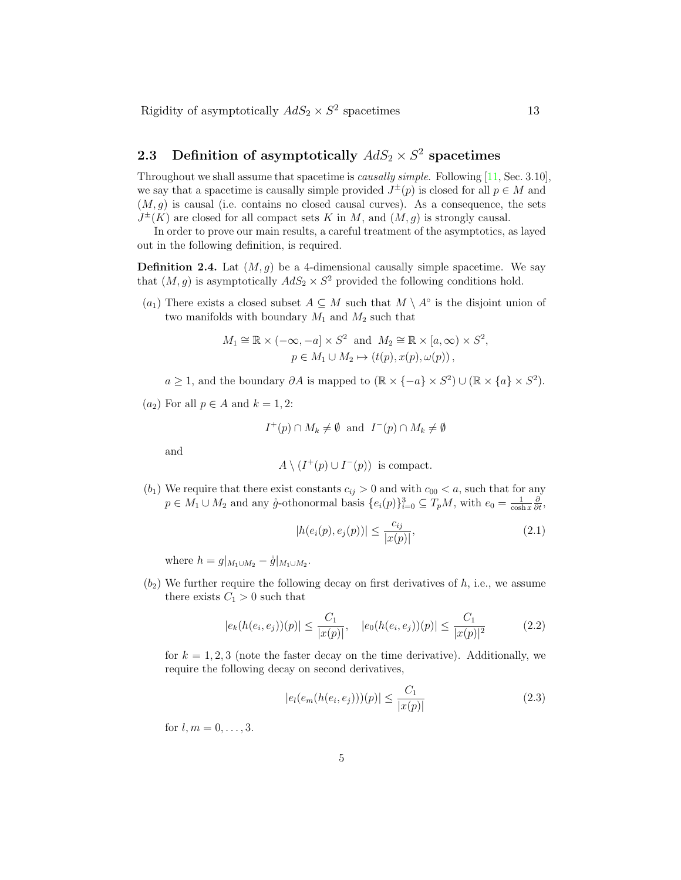# **2.3** Definition of asymptotically  $AdS_2 \times S^2$  spacetimes

Throughout we shall assume that spacetime is *causally simple*. Following [11, Sec. 3.10], we say that a spacetime is causally simple provided  $J^{\pm}(p)$  is closed for all  $p \in M$  and  $(M, g)$  is causal (i.e. contains no closed causal curves). As a consequence, the sets  $J^{\pm}(K)$  are closed for all compact sets K in M, and  $(M, g)$  is strongly causal.

In order to prove our main results, a careful treatment of the asymptotics, as layed out in the following definition, is required.

**Definition 2.4.** Lat  $(M, g)$  be a 4-dimensional causally simple spacetime. We say that  $(M, g)$  is asymptotically  $AdS_2 \times S^2$  provided the following conditions hold.

 $(a_1)$  There exists a closed subset  $A \subseteq M$  such that  $M \setminus A^\circ$  is the disjoint union of two manifolds with boundary  $M_1$  and  $M_2$  such that

$$
M_1 \cong \mathbb{R} \times (-\infty, -a] \times S^2 \text{ and } M_2 \cong \mathbb{R} \times [a, \infty) \times S^2,
$$
  

$$
p \in M_1 \cup M_2 \mapsto (t(p), x(p), \omega(p)),
$$

 $a \geq 1$ , and the boundary  $\partial A$  is mapped to  $(\mathbb{R} \times \{-a\} \times S^2) \cup (\mathbb{R} \times \{a\} \times S^2)$ .

 $(a_2)$  For all  $p \in A$  and  $k = 1, 2$ :

$$
I^+(p) \cap M_k \neq \emptyset
$$
 and  $I^-(p) \cap M_k \neq \emptyset$ 

and

$$
A \setminus (I^+(p) \cup I^-(p))
$$
 is compact.

 $(b_1)$  We require that there exist constants  $c_{ij} > 0$  and with  $c_{00} < a$ , such that for any  $p \in M_1 \cup M_2$  and any  $\mathring{g}$ -othonormal basis  $\{e_i(p)\}_{i=0}^3 \subseteq T_pM$ , with  $e_0 = \frac{1}{\cosh x} \frac{\partial}{\partial t}$ ,

$$
|h(e_i(p), e_j(p))| \le \frac{c_{ij}}{|x(p)|},
$$
\n(2.1)

where  $h = g|_{M_1 \cup M_2} - \hat{g}|_{M_1 \cup M_2}$ .

 $(b_2)$  We further require the following decay on first derivatives of  $h$ , i.e., we assume there exists  $C_1 > 0$  such that

$$
|e_k(h(e_i, e_j))(p)| \le \frac{C_1}{|x(p)|}, \quad |e_0(h(e_i, e_j))(p)| \le \frac{C_1}{|x(p)|^2} \tag{2.2}
$$

for  $k = 1, 2, 3$  (note the faster decay on the time derivative). Additionally, we require the following decay on second derivatives,

$$
|e_l(e_m(h(e_i, e_j))) (p)| \le \frac{C_1}{|x(p)|} \tag{2.3}
$$

for  $l, m = 0, \ldots, 3$ .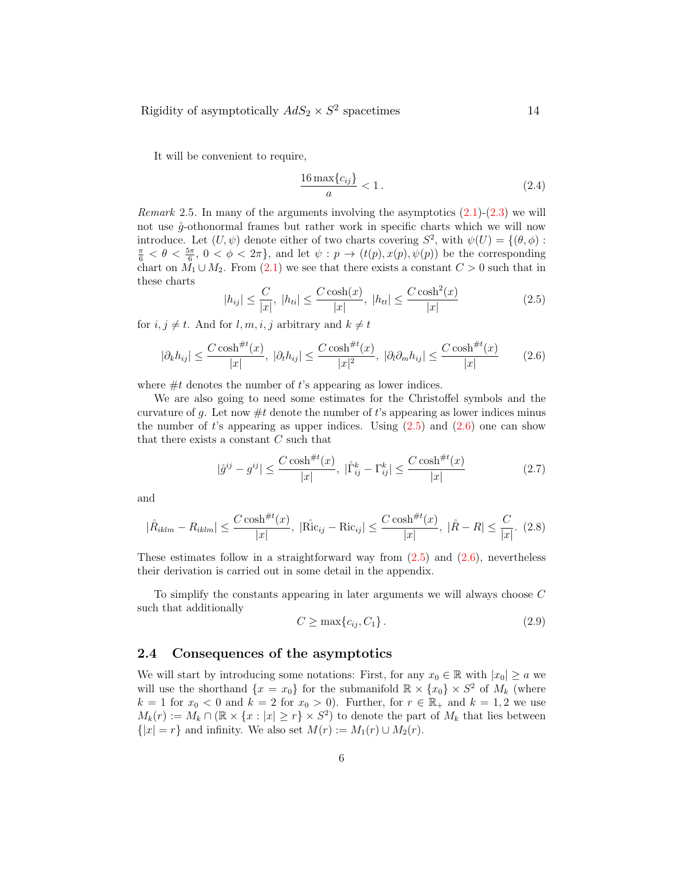It will be convenient to require,

$$
\frac{16\max\{c_{ij}\}}{a} < 1\,. \tag{2.4}
$$

*Remark* 2.5. In many of the arguments involving the asymptotics  $(2.1)-(2.3)$  we will not use  $\mathring{g}$ -othonormal frames but rather work in specific charts which we will now introduce. Let  $(U, \psi)$  denote either of two charts covering  $S^2$ , with  $\psi(U) = \{(\theta, \phi) :$  $\frac{\pi}{6} < \theta < \frac{5\pi}{6}$ ,  $0 < \phi < 2\pi$ , and let  $\psi : p \to (t(p), x(p), \psi(p))$  be the corresponding chart on  $M_1 \cup M_2$ . From (2.1) we see that there exists a constant  $C > 0$  such that in these charts

$$
|h_{ij}| \le \frac{C}{|x|}, \ |h_{ti}| \le \frac{C \cosh(x)}{|x|}, \ |h_{tt}| \le \frac{C \cosh^2(x)}{|x|} \tag{2.5}
$$

for  $i, j \neq t$ . And for  $l, m, i, j$  arbitrary and  $k \neq t$ 

$$
|\partial_k h_{ij}| \le \frac{C \cosh^{\#t}(x)}{|x|}, \ |\partial_t h_{ij}| \le \frac{C \cosh^{\#t}(x)}{|x|^2}, \ |\partial_l \partial_m h_{ij}| \le \frac{C \cosh^{\#t}(x)}{|x|} \tag{2.6}
$$

where  $#t$  denotes the number of t's appearing as lower indices.

We are also going to need some estimates for the Christoffel symbols and the curvature of g. Let now  $\#t$  denote the number of t's appearing as lower indices minus the number of  $t$ 's appearing as upper indices. Using  $(2.5)$  and  $(2.6)$  one can show that there exists a constant C such that

$$
|\mathring{g}^{ij} - g^{ij}| \le \frac{C \cosh^{\#t}(x)}{|x|}, \ |\mathring{\Gamma}_{ij}^k - \Gamma_{ij}^k| \le \frac{C \cosh^{\#t}(x)}{|x|}
$$
(2.7)

and

$$
|\mathring{R}_{iklm} - R_{iklm}| \le \frac{C \cosh^{\#t}(x)}{|x|}, \ |\mathring{\text{Ric}}_{ij} - \text{Ric}_{ij}| \le \frac{C \cosh^{\#t}(x)}{|x|}, \ |\mathring{R} - R| \le \frac{C}{|x|}. \tag{2.8}
$$

These estimates follow in a straightforward way from  $(2.5)$  and  $(2.6)$ , nevertheless their derivation is carried out in some detail in the appendix.

To simplify the constants appearing in later arguments we will always choose C such that additionally

$$
C \ge \max\{c_{ij}, C_1\} \,. \tag{2.9}
$$

#### 2.4 Consequences of the asymptotics

We will start by introducing some notations: First, for any  $x_0 \in \mathbb{R}$  with  $|x_0| \ge a$  we will use the shorthand  $\{x = x_0\}$  for the submanifold  $\mathbb{R} \times \{x_0\} \times S^2$  of  $M_k$  (where  $k = 1$  for  $x_0 < 0$  and  $k = 2$  for  $x_0 > 0$ ). Further, for  $r \in \mathbb{R}_+$  and  $k = 1, 2$  we use  $M_k(r) := M_k \cap (\mathbb{R} \times \{x : |x| \geq r\} \times S^2)$  to denote the part of  $M_k$  that lies between  $\{|x|=r\}$  and infinity. We also set  $M(r) := M_1(r) \cup M_2(r)$ .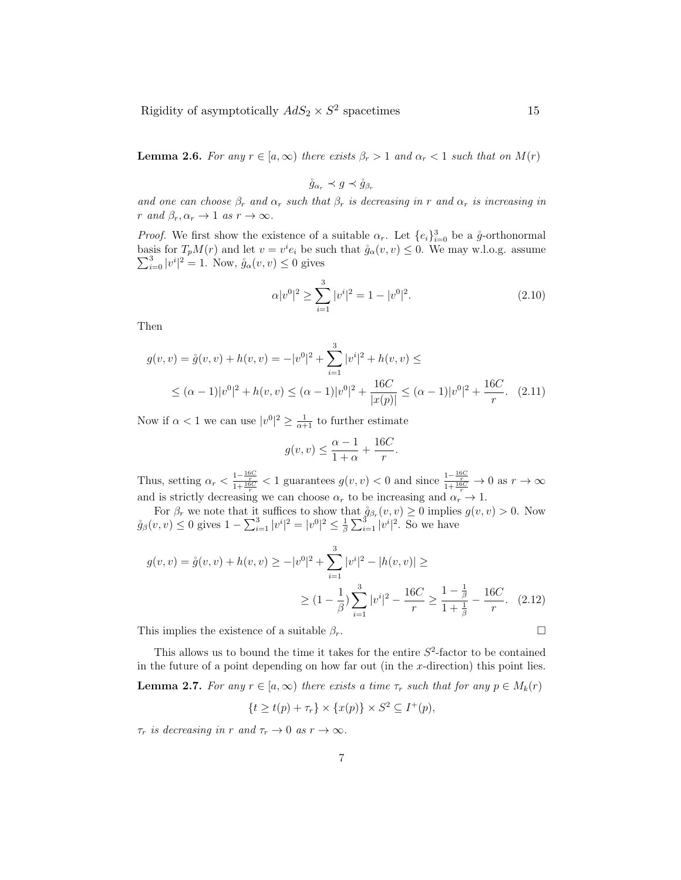**Lemma 2.6.** For any  $r \in [a, \infty)$  there exists  $\beta_r > 1$  and  $\alpha_r < 1$  such that on  $M(r)$ 

$$
\mathring{g}_{\alpha_r} \prec g \prec \mathring{g}_{\beta_r}
$$

and one can choose  $\beta_r$  and  $\alpha_r$  such that  $\beta_r$  is decreasing in r and  $\alpha_r$  is increasing in r and  $\beta_r, \alpha_r \to 1$  as  $r \to \infty$ .

*Proof.* We first show the existence of a suitable  $\alpha_r$ . Let  $\{e_i\}_{i=0}^3$  be a  $\mathring{g}$ -orthonormal basis for  $T_pM(r)$  and let  $v=v^i$ basis for  $T_pM(r)$  and let  $v = v^i e_i$  be such that  $\mathring{g}_{\alpha}(v, v) \leq 0$ . We may w.l.o.g. assume  $\sum_{i=0}^{3} |v^i|^2 = 1$ . Now,  $\mathring{g}_{\alpha}(v, v) \leq 0$  gives

$$
\alpha |v^0|^2 \ge \sum_{i=1}^3 |v^i|^2 = 1 - |v^0|^2. \tag{2.10}
$$

Then

$$
g(v, v) = \mathring{g}(v, v) + h(v, v) = -|v^0|^2 + \sum_{i=1}^3 |v^i|^2 + h(v, v) \le
$$
  
 
$$
\leq (\alpha - 1)|v^0|^2 + h(v, v) \leq (\alpha - 1)|v^0|^2 + \frac{16C}{|x(p)|} \leq (\alpha - 1)|v^0|^2 + \frac{16C}{r}.
$$
 (2.11)

Now if  $\alpha < 1$  we can use  $|v^0|^2 \geq \frac{1}{\alpha+1}$  to further estimate

$$
g(v,v) \le \frac{\alpha - 1}{1 + \alpha} + \frac{16C}{r}.
$$

Thus, setting  $\alpha_r < \frac{1-\frac{16C}{r}}{1+\frac{16C}{r}} < 1$  guarantees  $g(v, v) < 0$  and since  $\frac{1-\frac{16C}{r}}{1+\frac{16C}{r}} \to 0$  as  $r \to \infty$ and is strictly decreasing we can choose  $\alpha_r$  to be increasing and  $\alpha_r \to 1$ .

For  $\beta_r$  we note that it suffices to show that  $\mathring{g}_{\beta_r}(v, v) \ge 0$  implies  $g(v, v) > 0$ . Now  $\mathring{g}_{\beta}(v, v) \leq 0$  gives  $1 - \sum_{i=1}^{3} |v^{i}|^{2} = |v^{0}|^{2} \leq \frac{1}{\beta} \sum_{i=1}^{3} |v^{i}|^{2}$ . So we have

$$
g(v, v) = \mathring{g}(v, v) + h(v, v) \ge -|v^0|^2 + \sum_{i=1}^3 |v^i|^2 - |h(v, v)| \ge
$$
  

$$
\ge (1 - \frac{1}{\beta}) \sum_{i=1}^3 |v^i|^2 - \frac{16C}{r} \ge \frac{1 - \frac{1}{\beta}}{1 + \frac{1}{\beta}} - \frac{16C}{r}.
$$
 (2.12)

This implies the existence of a suitable  $\beta_r$ .

This allows us to bound the time it takes for the entire  $S^2$ -factor to be contained in the future of a point depending on how far out (in the  $x$ -direction) this point lies. **Lemma 2.7.** For any  $r \in [a,\infty)$  there exists a time  $\tau_r$  such that for any  $p \in M_k(r)$  $\{t \ge t(p) + \tau_r\} \times \{x(p)\} \times S^2 \subseteq I^+(p),$ 

 $\tau_r$  is decreasing in r and  $\tau_r \to 0$  as  $r \to \infty$ .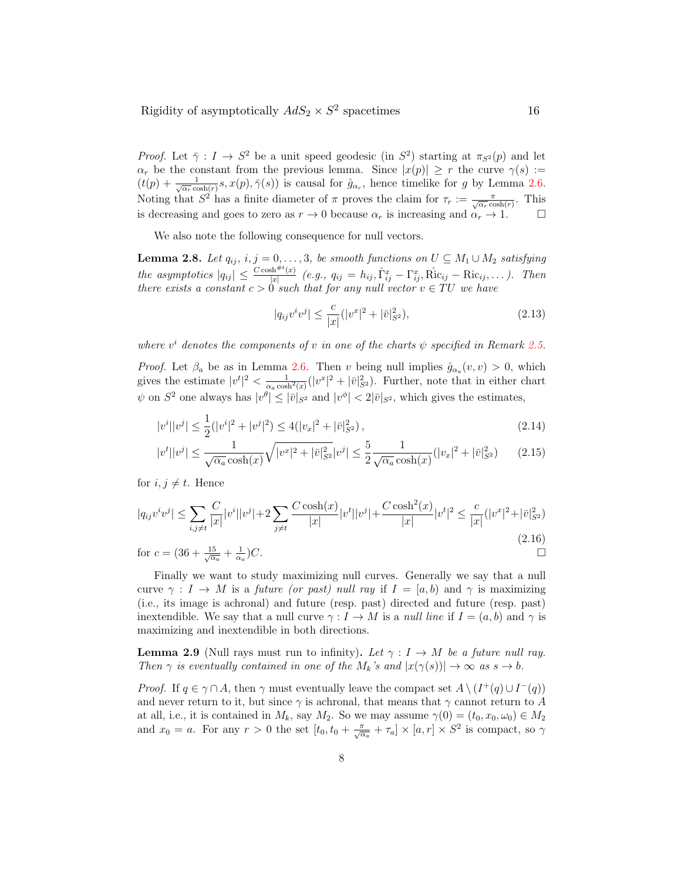*Proof.* Let  $\bar{\gamma}: I \to S^2$  be a unit speed geodesic (in  $S^2$ ) starting at  $\pi_{S^2}(p)$  and let  $\alpha_r$  be the constant from the previous lemma. Since  $|x(p)| \geq r$  the curve  $\gamma(s) :=$  $(t(p) + \frac{1}{\sqrt{\alpha_r}\cosh(r)}s, x(p), \bar{\gamma}(s))$  is causal for  $\mathring{g}_{\alpha_r}$ , hence timelike for g by Lemma 2.6. Noting that  $S^2$  has a finite diameter of  $\pi$  proves the claim for  $\tau_r := \frac{\pi}{\sqrt{\alpha_r} \cosh(r)}$ . This is decreasing and goes to zero as  $r \to 0$  because  $\alpha_r$  is increasing and  $\alpha_r \to 1$ .

We also note the following consequence for null vectors.

**Lemma 2.8.** Let  $q_{ij}$ ,  $i, j = 0, \ldots, 3$ , be smooth functions on  $U \subseteq M_1 \cup M_2$  satisfying the asymptotics  $|q_{ij}| \leq \frac{C \cosh^{\#t}(x)}{|x|}$  $\lim_{|x| \to 0} (e.g., q_{ij} = h_{ij}, \hat{\Gamma}_{ij}^x - \Gamma_{ij}^x, \text{Ric}_{ij} - \text{Ric}_{ij}, \dots).$  Then there exists a constant  $c > 0$  such that for any null vector  $v \in TU$  we have

$$
|q_{ij}v^iv^j| \le \frac{c}{|x|}(|v^x|^2 + |\bar{v}|_{S^2}^2),\tag{2.13}
$$

where  $v^i$  denotes the components of v in one of the charts  $\psi$  specified in Remark 2.5.

*Proof.* Let  $\beta_a$  be as in Lemma 2.6. Then v being null implies  $\mathring{g}_{\alpha_a}(v, v) > 0$ , which gives the estimate  $|v^t|^2 < \frac{1}{\alpha_a \cosh^2(x)}(|v^x|^2 + |\bar{v}|^2_{S^2})$ . Further, note that in either chart  $\psi$  on  $S^2$  one always has  $|v^{\theta}| \leq |\bar{v}|_{S^2}$  and  $|v^{\phi}| < 2|\bar{v}|_{S^2}$ , which gives the estimates,

$$
|v^{i}||v^{j}| \le \frac{1}{2}(|v^{i}|^{2} + |v^{j}|^{2}) \le 4(|v_{x}|^{2} + |\bar{v}|_{S^{2}}^{2}), \tag{2.14}
$$

$$
|v^t||v^j| \le \frac{1}{\sqrt{\alpha_a}\cosh(x)}\sqrt{|v^x|^2 + |\bar{v}|^2_{S^2}}|v^j| \le \frac{5}{2}\frac{1}{\sqrt{\alpha_a}\cosh(x)}(|v_x|^2 + |\bar{v}|^2_{S^2})\tag{2.15}
$$

for  $i, j \neq t$ . Hence

$$
|q_{ij}v^iv^j| \le \sum_{i,j \ne t} \frac{C}{|x|} |v^i||v^j| + 2\sum_{j \ne t} \frac{C \cosh(x)}{|x|} |v^t||v^j| + \frac{C \cosh^2(x)}{|x|} |v^t|^2 \le \frac{c}{|x|} (|v^x|^2 + |\bar{v}|_{S^2}^2)
$$
\n(2.16)

for 
$$
c = (36 + \frac{15}{\sqrt{\alpha_a}} + \frac{1}{\alpha_a})C
$$
.

Finally we want to study maximizing null curves. Generally we say that a null curve  $\gamma: I \to M$  is a future (or past) null ray if  $I = [a, b]$  and  $\gamma$  is maximizing (i.e., its image is achronal) and future (resp. past) directed and future (resp. past) inextendible. We say that a null curve  $\gamma: I \to M$  is a *null line* if  $I = (a, b)$  and  $\gamma$  is maximizing and inextendible in both directions.

**Lemma 2.9** (Null rays must run to infinity). Let  $\gamma : I \to M$  be a future null ray. Then  $\gamma$  is eventually contained in one of the  $M_k$ 's and  $|x(\gamma(s))| \to \infty$  as  $s \to b$ .

*Proof.* If  $q \in \gamma \cap A$ , then  $\gamma$  must eventually leave the compact set  $A \setminus (I^+(q) \cup I^-(q))$ and never return to it, but since  $\gamma$  is achronal, that means that  $\gamma$  cannot return to A at all, i.e., it is contained in  $M_k$ , say  $M_2$ . So we may assume  $\gamma(0) = (t_0, x_0, \omega_0) \in M_2$ and  $x_0 = a$ . For any  $r > 0$  the set  $[t_0, t_0 + \frac{\pi}{\sqrt{\alpha_a}} + \tau_a] \times [a, r] \times S^2$  is compact, so  $\gamma$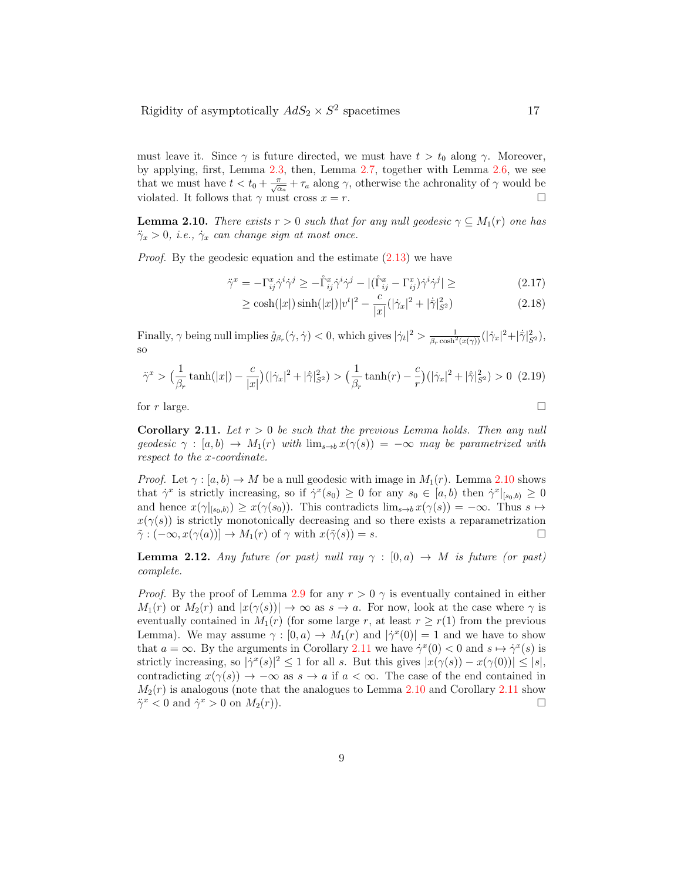must leave it. Since  $\gamma$  is future directed, we must have  $t > t_0$  along  $\gamma$ . Moreover, by applying, first, Lemma 2.3, then, Lemma 2.7, together with Lemma 2.6, we see that we must have  $t < t_0 + \frac{\pi}{\sqrt{\alpha_a}} + \tau_a$  along  $\gamma$ , otherwise the achronality of  $\gamma$  would be violated. It follows that  $\gamma$  must cross  $x = r$ .

**Lemma 2.10.** There exists  $r > 0$  such that for any null geodesic  $\gamma \subseteq M_1(r)$  one has  $\ddot{\gamma}_x > 0$ , *i.e.*,  $\dot{\gamma}_x$  can change sign at most once.

Proof. By the geodesic equation and the estimate (2.13) we have

$$
\ddot{\gamma}^x = -\Gamma^x_{ij}\dot{\gamma}^i\dot{\gamma}^j \ge -\mathring{\Gamma}^x_{ij}\dot{\gamma}^i\dot{\gamma}^j - |(\mathring{\Gamma}^x_{ij} - \Gamma^x_{ij})\dot{\gamma}^i\dot{\gamma}^j| \ge \tag{2.17}
$$

$$
\geq \cosh(|x|)\sinh(|x|)|v^t|^2 - \frac{c}{|x|}(|\dot{\gamma}_x|^2 + |\dot{\bar{\gamma}}|_{S^2}^2)
$$
\n(2.18)

Finally,  $\gamma$  being null implies  $\mathring{g}_{\beta_r}(\dot{\gamma}, \dot{\gamma}) < 0$ , which gives  $|\dot{\gamma}_t|^2 > \frac{1}{\beta_r \cosh^2(x(\gamma))} (|\dot{\gamma}_x|^2 + |\dot{\gamma}|_{S^2}^2)$ , so

$$
\ddot{\gamma}^x > \left(\frac{1}{\beta_r} \tanh(|x|) - \frac{c}{|x|}\right) \left(|\dot{\gamma}_x|^2 + |\dot{\bar{\gamma}}|_{S^2}^2\right) > \left(\frac{1}{\beta_r} \tanh(r) - \frac{c}{r}\right) \left(|\dot{\gamma}_x|^2 + |\dot{\bar{\gamma}}|_{S^2}^2\right) > 0 \tag{2.19}
$$

for  $r$  large.

**Corollary 2.11.** Let  $r > 0$  be such that the previous Lemma holds. Then any null geodesic  $\gamma : [a, b] \to M_1(r)$  with  $\lim_{s \to b} x(\gamma(s)) = -\infty$  may be parametrized with respect to the x-coordinate.

*Proof.* Let  $\gamma : [a, b] \to M$  be a null geodesic with image in  $M_1(r)$ . Lemma 2.10 shows that  $\dot{\gamma}^x$  is strictly increasing, so if  $\dot{\gamma}^x(s_0) \geq 0$  for any  $s_0 \in [a, b)$  then  $\dot{\gamma}^x|_{[s_0, b)} \geq 0$ and hence  $x(\gamma|_{[s_0,b)}) \geq x(\gamma(s_0))$ . This contradicts  $\lim_{s\to b} x(\gamma(s)) = -\infty$ . Thus  $s \mapsto$  $x(\gamma(s))$  is strictly monotonically decreasing and so there exists a reparametrization  $\tilde{\gamma}: (-\infty, x(\gamma(a))] \to M_1(r)$  of  $\gamma$  with  $x(\tilde{\gamma}(s)) = s$ .

**Lemma 2.12.** Any future (or past) null ray  $\gamma : [0, a) \rightarrow M$  is future (or past) complete.

*Proof.* By the proof of Lemma 2.9 for any  $r > 0$   $\gamma$  is eventually contained in either  $M_1(r)$  or  $M_2(r)$  and  $|x(\gamma(s))| \to \infty$  as  $s \to a$ . For now, look at the case where  $\gamma$  is eventually contained in  $M_1(r)$  (for some large r, at least  $r \geq r(1)$  from the previous Lemma). We may assume  $\gamma : [0, a) \to M_1(r)$  and  $|\gamma^x(0)| = 1$  and we have to show that  $a = \infty$ . By the arguments in Corollary 2.11 we have  $\dot{\gamma}^x(0) < 0$  and  $s \mapsto \dot{\gamma}^x(s)$  is strictly increasing, so  $|\dot{\gamma}^x(s)|^2 \leq 1$  for all s. But this gives  $|x(\gamma(s)) - x(\gamma(0))| \leq |s|$ , contradicting  $x(\gamma(s)) \to -\infty$  as  $s \to a$  if  $a < \infty$ . The case of the end contained in  $M_2(r)$  is analogous (note that the analogues to Lemma 2.10 and Corollary 2.11 show  $\ddot{\gamma}^x < 0$  and  $\dot{\gamma}^x > 0$  on  $M_2(r)$ ).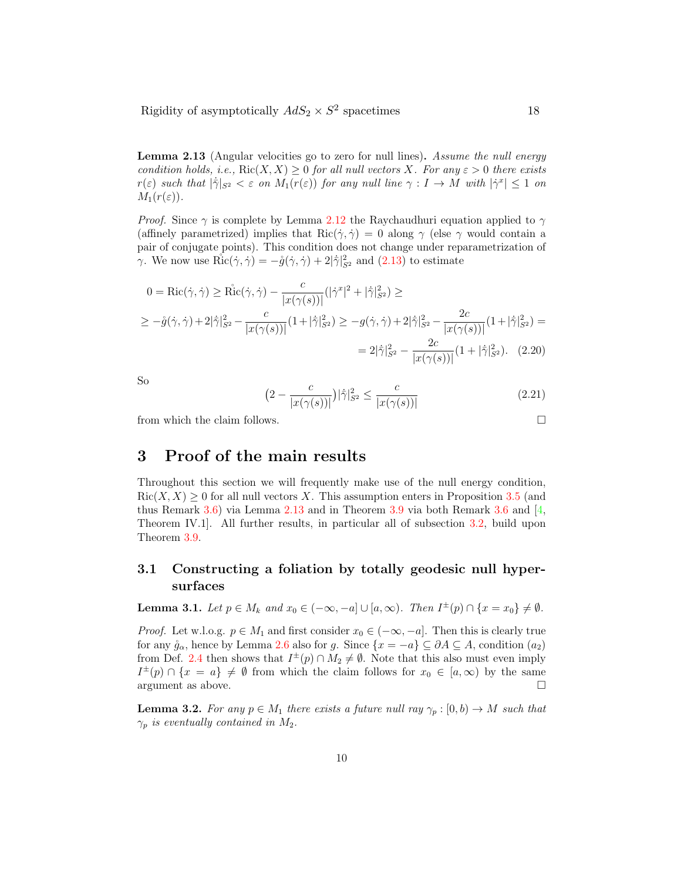Lemma 2.13 (Angular velocities go to zero for null lines). Assume the null energy condition holds, i.e.,  $\text{Ric}(X, X) \geq 0$  for all null vectors X. For any  $\varepsilon > 0$  there exists  $r(\varepsilon)$  such that  $|\dot{\overline{\gamma}}|_{S^2} < \varepsilon$  on  $M_1(r(\varepsilon))$  for any null line  $\gamma : I \to M$  with  $|\dot{\gamma}^x| \leq 1$  on  $M_1(r(\varepsilon))$ .

*Proof.* Since  $\gamma$  is complete by Lemma 2.12 the Raychaudhuri equation applied to  $\gamma$ (affinely parametrized) implies that  $\text{Ric}(\dot{\gamma}, \dot{\gamma}) = 0$  along  $\gamma$  (else  $\gamma$  would contain a pair of conjugate points). This condition does not change under reparametrization of  $\gamma$ . We now use  $\mathring{\mathrm{Ric}}(\dot{\gamma}, \dot{\gamma}) = -\mathring{g}(\dot{\gamma}, \dot{\gamma}) + 2|\dot{\overline{\gamma}}|_{S^2}^2$  and  $(2.13)$  to estimate

$$
0 = \text{Ric}(\dot{\gamma}, \dot{\gamma}) \ge \text{Ric}(\dot{\gamma}, \dot{\gamma}) - \frac{c}{|x(\gamma(s))|} (|\dot{\gamma}^x|^2 + |\dot{\gamma}|^2_{S^2}) \ge
$$
  

$$
\ge -\mathring{g}(\dot{\gamma}, \dot{\gamma}) + 2|\dot{\gamma}|^2_{S^2} - \frac{c}{|x(\gamma(s))|} (1 + |\dot{\gamma}|^2_{S^2}) \ge -g(\dot{\gamma}, \dot{\gamma}) + 2|\dot{\gamma}|^2_{S^2} - \frac{2c}{|x(\gamma(s))|} (1 + |\dot{\gamma}|^2_{S^2}) =
$$
  

$$
= 2|\dot{\gamma}|^2_{S^2} - \frac{2c}{|x(\gamma(s))|} (1 + |\dot{\gamma}|^2_{S^2}). \quad (2.20)
$$

So

$$
(2 - \frac{c}{|x(\gamma(s))|})|\dot{\gamma}|_{S^2}^2 \le \frac{c}{|x(\gamma(s))|}
$$
\n(2.21)

from which the claim follows.  $\Box$ 

# 3 Proof of the main results

Throughout this section we will frequently make use of the null energy condition,  $Ric(X, X) \geq 0$  for all null vectors X. This assumption enters in Proposition 3.5 (and thus Remark 3.6) via Lemma 2.13 and in Theorem 3.9 via both Remark 3.6 and [4, Theorem IV.1]. All further results, in particular all of subsection 3.2, build upon Theorem 3.9.

## 3.1 Constructing a foliation by totally geodesic null hypersurfaces

**Lemma 3.1.** Let  $p \in M_k$  and  $x_0 \in (-\infty, -a] \cup [a, \infty)$ . Then  $I^{\pm}(p) \cap \{x = x_0\} \neq \emptyset$ .

*Proof.* Let w.l.o.g.  $p \in M_1$  and first consider  $x_0 \in (-\infty, -a]$ . Then this is clearly true for any  $\mathring{g}_{\alpha}$ , hence by Lemma 2.6 also for g. Since  $\{x = -a\} \subseteq \partial A \subseteq A$ , condition  $(a_2)$ from Def. 2.4 then shows that  $I^{\pm}(p) \cap M_2 \neq \emptyset$ . Note that this also must even imply  $I^{\pm}(p) \cap \{x = a\} \neq \emptyset$  from which the claim follows for  $x_0 \in [a, \infty)$  by the same argument as above.  $\Box$ 

**Lemma 3.2.** For any  $p \in M_1$  there exists a future null ray  $\gamma_p : [0, b) \to M$  such that  $\gamma_p$  is eventually contained in  $M_2$ .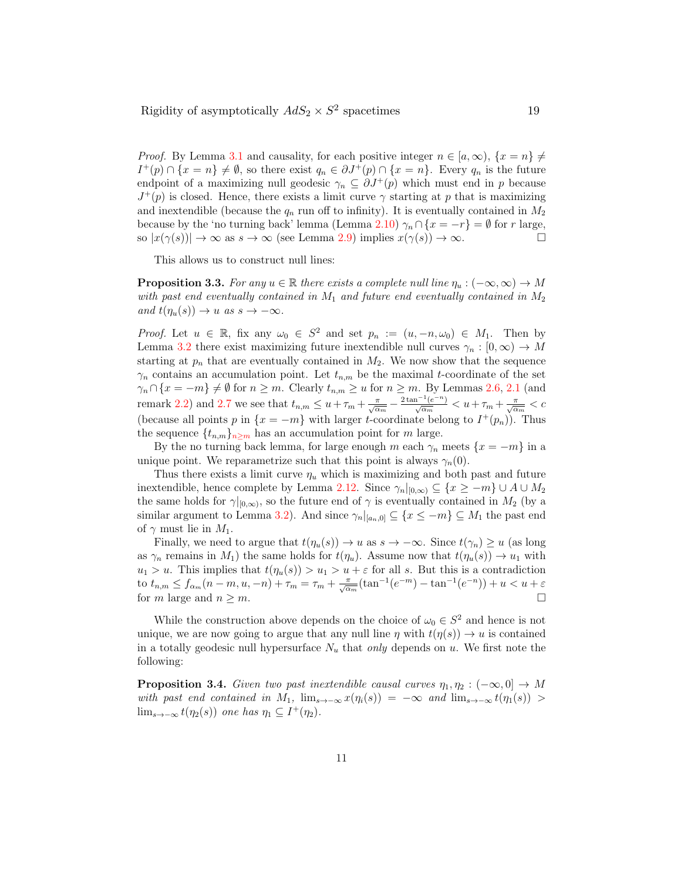*Proof.* By Lemma 3.1 and causality, for each positive integer  $n \in [a,\infty)$ ,  $\{x = n\} \neq$  $I^+(p) \cap \{x = n\} \neq \emptyset$ , so there exist  $q_n \in \partial J^+(p) \cap \{x = n\}$ . Every  $q_n$  is the future endpoint of a maximizing null geodesic  $\gamma_n \subseteq \partial J^+(p)$  which must end in p because  $J^+(p)$  is closed. Hence, there exists a limit curve  $\gamma$  starting at p that is maximizing and inextendible (because the  $q_n$  run off to infinity). It is eventually contained in  $M_2$ because by the 'no turning back' lemma (Lemma 2.10)  $\gamma_n \cap \{x = -r\} = \emptyset$  for r large, so  $|x(\gamma(s))| \to \infty$  as  $s \to \infty$  (see Lemma 2.9) implies  $x(\gamma(s)) \to \infty$ . so  $|x(\gamma(s))| \to \infty$  as  $s \to \infty$  (see Lemma 2.9) implies  $x(\gamma(s)) \to \infty$ .

This allows us to construct null lines:

**Proposition 3.3.** For any  $u \in \mathbb{R}$  there exists a complete null line  $\eta_u : (-\infty, \infty) \to M$ with past end eventually contained in  $M_1$  and future end eventually contained in  $M_2$ and  $t(\eta_u(s)) \to u$  as  $s \to -\infty$ .

*Proof.* Let  $u \in \mathbb{R}$ , fix any  $\omega_0 \in S^2$  and set  $p_n := (u, -n, \omega_0) \in M_1$ . Then by Lemma 3.2 there exist maximizing future inextendible null curves  $\gamma_n : [0, \infty) \to M$ starting at  $p_n$  that are eventually contained in  $M_2$ . We now show that the sequence  $\gamma_n$  contains an accumulation point. Let  $t_{n,m}$  be the maximal t-coordinate of the set  $\gamma_n \cap \{x = -m\} \neq \emptyset$  for  $n \geq m$ . Clearly  $t_{n,m} \geq u$  for  $n \geq m$ . By Lemmas 2.6, 2.1 (and remark 2.2) and 2.7 we see that  $t_{n,m} \leq u + \tau_m + \frac{\pi}{\sqrt{\alpha_m}} - \frac{2 \tan^{-1}(e^{-n})}{\sqrt{\alpha_m}} < u + \tau_m + \frac{\pi}{\sqrt{\alpha_m}} < c$ (because all points p in  $\{x = -m\}$  with larger t-coordinate belong to  $I^+(p_n)$ ). Thus the sequence  $\{t_{n,m}\}_n\geq m$  has an accumulation point for m large.

By the no turning back lemma, for large enough m each  $\gamma_n$  meets  $\{x = -m\}$  in a unique point. We reparametrize such that this point is always  $\gamma_n(0)$ .

Thus there exists a limit curve  $\eta_u$  which is maximizing and both past and future inextendible, hence complete by Lemma 2.12. Since  $\gamma_n|_{[0,\infty)} \subseteq \{x \geq -m\} \cup A \cup M_2$ the same holds for  $\gamma|_{[0,\infty)}$ , so the future end of  $\gamma$  is eventually contained in  $M_2$  (by a similar argument to Lemma 3.2). And since  $\gamma_n|_{[a_n,0]} \subseteq \{x \leq -m\} \subseteq M_1$  the past end of  $\gamma$  must lie in  $M_1$ .

Finally, we need to argue that  $t(\eta_u(s)) \to u$  as  $s \to -\infty$ . Since  $t(\gamma_n) \geq u$  (as long as  $\gamma_n$  remains in  $M_1$ ) the same holds for  $t(\eta_u)$ . Assume now that  $t(\eta_u(s)) \to u_1$  with  $u_1 > u$ . This implies that  $t(\eta_u(s)) > u_1 > u + \varepsilon$  for all s. But this is a contradiction to  $t_{n,m} \le f_{\alpha_m}(n-m, u, -n) + \tau_m = \tau_m + \frac{\pi}{\sqrt{\alpha_m}}(\tan^{-1}(e^{-m}) - \tan^{-1}(e^{-n})) + u < u + \varepsilon$ for m large and  $n \geq m$ .

While the construction above depends on the choice of  $\omega_0 \in S^2$  and hence is not unique, we are now going to argue that any null line  $\eta$  with  $t(\eta(s)) \to u$  is contained in a totally geodesic null hypersurface  $N_u$  that only depends on u. We first note the following:

**Proposition 3.4.** Given two past inextendible causal curves  $\eta_1, \eta_2 : (-\infty, 0] \to M$ with past end contained in  $M_1$ ,  $\lim_{s\to-\infty} x(\eta_i(s)) = -\infty$  and  $\lim_{s\to-\infty} t(\eta_1(s)) >$  $\lim_{s\to-\infty} t(\eta_2(s))$  one has  $\eta_1 \subseteq I^+(\eta_2)$ .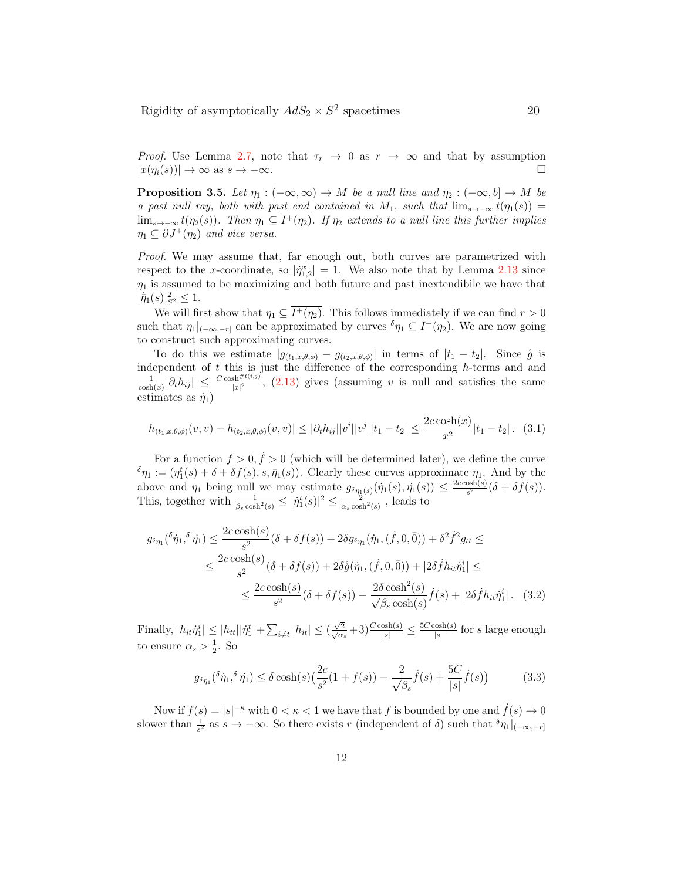Proof. Use Lemma 2.7, note that  $\tau_r \to 0$  as  $r \to \infty$  and that by assumption  $|x(n_i(s))| \to \infty$  as  $s \to -\infty$ .  $|x(\eta_i(s))| \to \infty$  as  $s \to -\infty$ .

**Proposition 3.5.** Let  $\eta_1 : (-\infty, \infty) \to M$  be a null line and  $\eta_2 : (-\infty, b] \to M$  be a past null ray, both with past end contained in M<sub>1</sub>, such that  $\lim_{s\to-\infty} t(\eta_1(s))$  =  $\lim_{s\to-\infty} t(\eta_2(s))$ . Then  $\eta_1 \subseteq I^+(\eta_2)$ . If  $\eta_2$  extends to a null line this further implies  $\eta_1 \subseteq \partial J^+(\eta_2)$  and vice versa.

Proof. We may assume that, far enough out, both curves are parametrized with respect to the x-coordinate, so  $|\eta_{1,2}^x| = 1$ . We also note that by Lemma 2.13 since  $\eta_1$  is assumed to be maximizing and both future and past inextendibile we have that  $|\dot{\bar{\eta}}_1(s)|^2_{S^2} \leq 1.$ 

We will first show that  $\eta_1 \subseteq \overline{I^+(\eta_2)}$ . This follows immediately if we can find  $r > 0$ such that  $\eta_1|_{(-\infty,-r]}$  can be approximated by curves  $\delta \eta_1 \subseteq I^+(\eta_2)$ . We are now going to construct such approximating curves.

To do this we estimate  $|g_{(t_1,x,\theta,\phi)} - g_{(t_2,x,\theta,\phi)}|$  in terms of  $|t_1 - t_2|$ . Since  $\hat{g}$  is independent of  $t$  this is just the difference of the corresponding  $h$ -terms and and  $\frac{1}{\cosh(x)}|\partial_t h_{ij}| \leq \frac{C \cosh^{(\#t(i,j))}}{|x|^2}$ , (2.13) gives (assuming v is null and satisfies the same estimates as  $\dot{\eta}_1$ )

$$
|h_{(t_1,x,\theta,\phi)}(v,v) - h_{(t_2,x,\theta,\phi)}(v,v)| \leq |\partial_t h_{ij}| |v^i| |v^j| |t_1 - t_2| \leq \frac{2c \cosh(x)}{x^2} |t_1 - t_2|.
$$
 (3.1)

For a function  $f > 0, \dot{f} > 0$  (which will be determined later), we define the curve  $\delta \eta_1 := (\eta_1^t(s) + \delta + \delta f(s), s, \bar{\eta}_1(s))$ . Clearly these curves approximate  $\eta_1$ . And by the 1 above and  $\eta_1$  being null we may estimate  $g_{\delta \eta_1(s)}(\dot{\eta}_1(s), \dot{\eta}_1(s)) \leq \frac{2c \cosh(s)}{s^2}$  $\frac{\text{osn}(s)}{s^2}(\delta + \delta f(s)).$ This, together with  $\frac{1}{\beta_s \cosh^2(s)} \leq |\dot{\eta}_1^t(s)|^2 \leq \frac{2}{\alpha_s \cosh^2(s)}$ , leads to

$$
g_{\delta\eta_{1}}(\delta\dot{\eta}_{1},\delta\dot{\eta}_{1}) \leq \frac{2c\cosh(s)}{s^{2}}(\delta + \delta f(s)) + 2\delta g_{\delta\eta_{1}}(\dot{\eta}_{1},(\dot{f},0,\bar{0})) + \delta^{2}\dot{f}^{2}g_{tt} \leq
$$
  

$$
\leq \frac{2c\cosh(s)}{s^{2}}(\delta + \delta f(s)) + 2\delta\dot{g}(\dot{\eta}_{1},(\dot{f},0,\bar{0})) + |2\delta\dot{f}h_{it}\dot{\eta}_{1}^{i}| \leq
$$
  

$$
\leq \frac{2c\cosh(s)}{s^{2}}(\delta + \delta f(s)) - \frac{2\delta\cosh^{2}(s)}{\sqrt{\beta_{s}}\cosh(s)}\dot{f}(s) + |2\delta\dot{f}h_{it}\dot{\eta}_{1}^{i}|. \quad (3.2)
$$

Finally,  $|h_{it} \eta_1^i| \leq |h_{tt}| |\dot{\eta}_1^t| + \sum_{i \neq t} |h_{it}| \leq (\frac{\sqrt{2}}{\sqrt{\alpha_s}} + 3) \frac{C \cosh(s)}{|s|} \leq \frac{5C \cosh(s)}{|s|}$  $\frac{\cosh(s)}{|s|}$  for s large enough to ensure  $\alpha_s > \frac{1}{2}$ . So

$$
g_{\delta\eta_1}(\delta\dot{\eta}_1, \delta\dot{\eta}_1) \le \delta \cosh(s) \left(\frac{2c}{s^2}(1+f(s)) - \frac{2}{\sqrt{\beta_s}}\dot{f}(s) + \frac{5C}{|s|}\dot{f}(s)\right) \tag{3.3}
$$

Now if  $f(s) = |s|^{-\kappa}$  with  $0 < \kappa < 1$  we have that f is bounded by one and  $f(s) \to 0$ slower than  $\frac{1}{s^2}$  as  $s \to -\infty$ . So there exists r (independent of  $\delta$ ) such that  $\delta \eta_1|_{(-\infty,-r]}$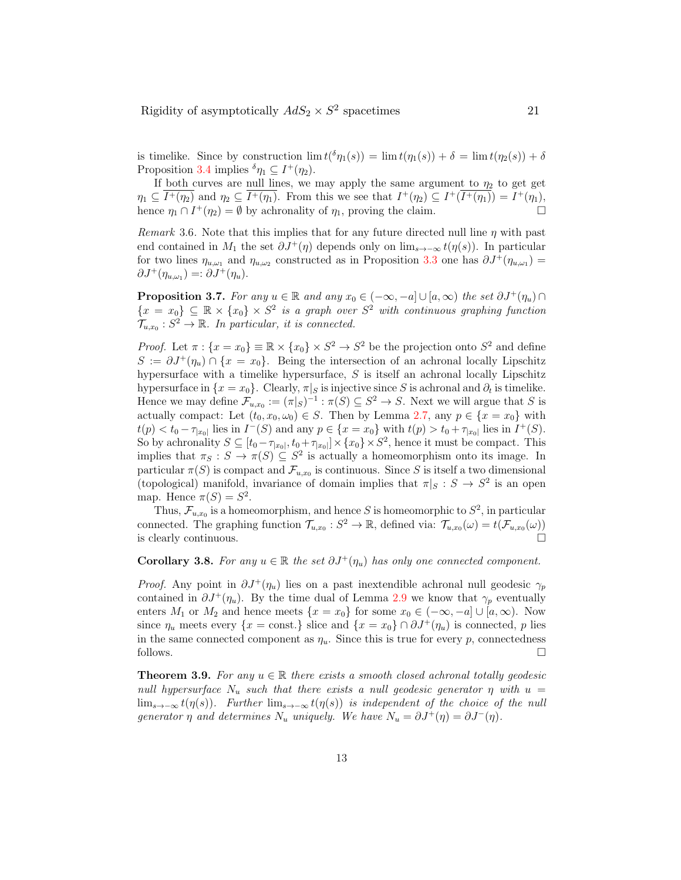is timelike. Since by construction  $\lim t({\delta \eta_1}(s)) = \lim t(\eta_1(s)) + \delta = \lim t(\eta_2(s)) + \delta$ Proposition 3.4 implies  ${}^{\delta}\eta_1 \subseteq I^+(\eta_2)$ .

If both curves are null lines, we may apply the same argument to  $\eta_2$  to get get  $\eta_1 \subseteq \overline{I^+(\eta_2)}$  and  $\eta_2 \subseteq \overline{I^+(\eta_1)}$ . From this we see that  $I^+(\eta_2) \subseteq I^+(\overline{I^+(\eta_1)}) = I^+(\eta_1)$ , hence  $\eta_1 \cap I^+(\eta_2) = \emptyset$  by achronality of  $\eta_1$ , proving the claim.

Remark 3.6. Note that this implies that for any future directed null line  $\eta$  with past end contained in  $M_1$  the set  $\partial J^+(\eta)$  depends only on  $\lim_{s\to-\infty} t(\eta(s))$ . In particular for two lines  $\eta_{u,\omega_1}$  and  $\eta_{u,\omega_2}$  constructed as in Proposition 3.3 one has  $\partial J^+(\eta_{u,\omega_1}) =$  $\partial J^+(\eta_{u,\omega_1}) =: \partial J^+(\eta_u).$ 

**Proposition 3.7.** For any  $u \in \mathbb{R}$  and any  $x_0 \in (-\infty, -a] \cup [a, \infty)$  the set  $\partial J^+(\eta_u) \cap$  ${x \in x_0} \subseteq \mathbb{R} \times {x_0} \times S^2$  is a graph over  $S^2$  with continuous graphing function  $\mathcal{T}_{u,x_0}: S^2 \to \mathbb{R}$ . In particular, it is connected.

*Proof.* Let  $\pi: \{x = x_0\} \equiv \mathbb{R} \times \{x_0\} \times S^2 \to S^2$  be the projection onto  $S^2$  and define  $S := \partial J^+(\eta_u) \cap \{x = x_0\}.$  Being the intersection of an achronal locally Lipschitz hypersurface with a timelike hypersurface, S is itself an achronal locally Lipschitz hypersurface in  $\{x = x_0\}$ . Clearly,  $\pi|_S$  is injective since S is achronal and  $\partial_t$  is timelike. Hence we may define  $\mathcal{F}_{u,x_0} := (\pi|_S)^{-1} : \pi(S) \subseteq S^2 \to S$ . Next we will argue that S is actually compact: Let  $(t_0, x_0, \omega_0) \in S$ . Then by Lemma 2.7, any  $p \in \{x = x_0\}$  with  $t(p) < t_0 - \tau_{|x_0|}$  lies in  $I^-(S)$  and any  $p \in \{x = x_0\}$  with  $t(p) > t_0 + \tau_{|x_0|}$  lies in  $I^+(S)$ . So by achronality  $S \subseteq [t_0 - \tau_{|x_0|}, t_0 + \tau_{|x_0|}] \times \{x_0\} \times S^2$ , hence it must be compact. This implies that  $\pi_S : S \to \pi(S) \subseteq S^2$  is actually a homeomorphism onto its image. In particular  $\pi(S)$  is compact and  $\mathcal{F}_{u,x_0}$  is continuous. Since S is itself a two dimensional (topological) manifold, invariance of domain implies that  $\pi|_S : S \to S^2$  is an open map. Hence  $\pi(S) = S^2$ .

Thus,  $\mathcal{F}_{u,x_0}$  is a homeomorphism, and hence S is homeomorphic to  $S^2$ , in particular connected. The graphing function  $\mathcal{T}_{u,x_0}: S^2 \to \mathbb{R}$ , defined via:  $\mathcal{T}_{u,x_0}(\omega) = t(\mathcal{F}_{u,x_0}(\omega))$ is clearly continuous.

#### Corollary 3.8. For any  $u \in \mathbb{R}$  the set  $\partial J^+(\eta_u)$  has only one connected component.

*Proof.* Any point in  $\partial J^+(\eta_u)$  lies on a past inextendible achronal null geodesic  $\gamma_p$ contained in  $\partial J^+(\eta_u)$ . By the time dual of Lemma 2.9 we know that  $\gamma_p$  eventually enters  $M_1$  or  $M_2$  and hence meets  $\{x = x_0\}$  for some  $x_0 \in (-\infty, -a] \cup [a, \infty)$ . Now since  $\eta_u$  meets every  $\{x = \text{const.}\}\$  slice and  $\{x = x_0\} \cap \partial J^+(\eta_u)\$  is connected, p lies in the same connected component as  $\eta_u$ . Since this is true for every p, connectedness follows.  $\Box$ 

**Theorem 3.9.** For any  $u \in \mathbb{R}$  there exists a smooth closed achronal totally geodesic null hypersurface  $N_u$  such that there exists a null geodesic generator  $\eta$  with  $u =$  $\lim_{s\to\infty} t(\eta(s))$ . Further  $\lim_{s\to\infty} t(\eta(s))$  is independent of the choice of the null generator  $\eta$  and determines  $N_u$  uniquely. We have  $N_u = \partial J^+(\eta) = \partial J^-(\eta)$ .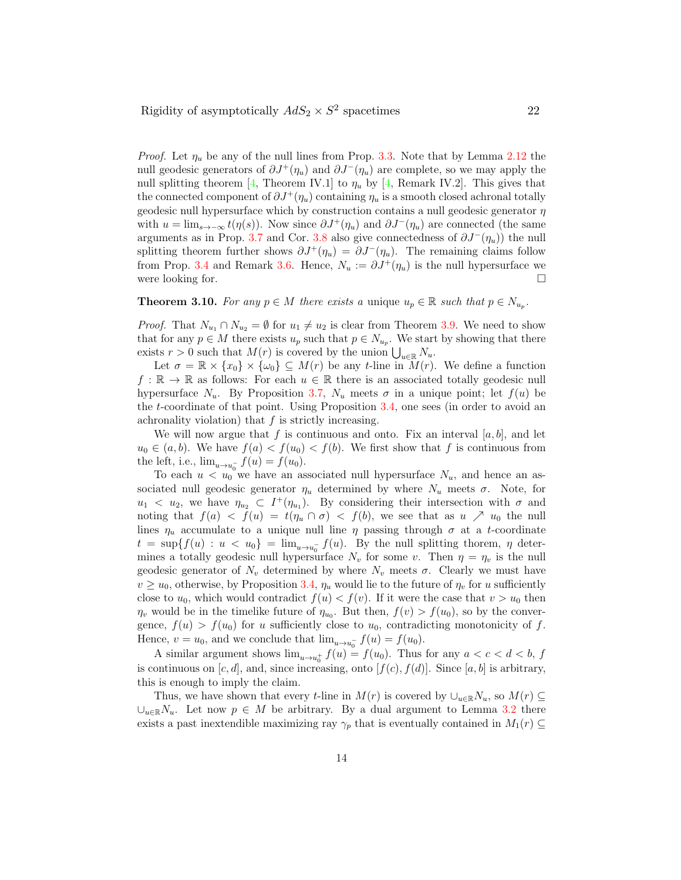*Proof.* Let  $\eta_u$  be any of the null lines from Prop. 3.3. Note that by Lemma 2.12 the null geodesic generators of  $\partial J^+(\eta_u)$  and  $\partial J^-(\eta_u)$  are complete, so we may apply the null splitting theorem [4, Theorem IV.1] to  $\eta_u$  by [4, Remark IV.2]. This gives that the connected component of  $\partial J^+(n_u)$  containing  $n_u$  is a smooth closed achronal totally geodesic null hypersurface which by construction contains a null geodesic generator  $\eta$ with  $u = \lim_{s \to -\infty} t(\eta(s))$ . Now since  $\partial J^+(\eta_u)$  and  $\partial J^-(\eta_u)$  are connected (the same arguments as in Prop. 3.7 and Cor. 3.8 also give connectedness of  $\partial J^-(\eta_u)$  the null splitting theorem further shows  $\partial J^+(\eta_u) = \partial J^-(\eta_u)$ . The remaining claims follow from Prop. 3.4 and Remark 3.6. Hence,  $N_u := \partial J^+(\eta_u)$  is the null hypersurface we were looking for.  $\Box$ 

**Theorem 3.10.** For any  $p \in M$  there exists a unique  $u_p \in \mathbb{R}$  such that  $p \in N_{u_p}$ .

*Proof.* That  $N_{u_1} \cap N_{u_2} = \emptyset$  for  $u_1 \neq u_2$  is clear from Theorem 3.9. We need to show that for any  $p \in M$  there exists  $u_p$  such that  $p \in N_{u_p}$ . We start by showing that there exists  $r > 0$  such that  $M(r)$  is covered by the union  $\bigcup_{u \in \mathbb{R}} N_u$ .

Let  $\sigma = \mathbb{R} \times \{x_0\} \times \{\omega_0\} \subseteq M(r)$  be any t-line in  $M(r)$ . We define a function  $f : \mathbb{R} \to \mathbb{R}$  as follows: For each  $u \in \mathbb{R}$  there is an associated totally geodesic null hypersurface  $N_u$ . By Proposition 3.7,  $N_u$  meets  $\sigma$  in a unique point; let  $f(u)$  be the t-coordinate of that point. Using Proposition 3.4, one sees (in order to avoid an achronality violation) that  $f$  is strictly increasing.

We will now argue that f is continuous and onto. Fix an interval  $[a, b]$ , and let  $u_0 \in (a, b)$ . We have  $f(a) < f(u_0) < f(b)$ . We first show that f is continuous from the left, i.e.,  $\lim_{u \to u_0^-} f(u) = f(u_0)$ .

To each  $u < u_0$  we have an associated null hypersurface  $N_u$ , and hence an associated null geodesic generator  $\eta_u$  determined by where  $N_u$  meets  $\sigma$ . Note, for  $u_1 < u_2$ , we have  $\eta_{u_2} \subset I^+(\eta_{u_1})$ . By considering their intersection with  $\sigma$  and noting that  $f(a) < f(u) = t(\eta_u \cap \sigma) < f(b)$ , we see that as  $u \nearrow u_0$  the null lines  $\eta_u$  accumulate to a unique null line  $\eta$  passing through  $\sigma$  at a t-coordinate  $t = \sup\{f(u) : u < u_0\} = \lim_{u \to u_0^-} f(u)$ . By the null splitting thorem,  $\eta$  determines a totally geodesic null hypersurface  $N_v$  for some v. Then  $\eta = \eta_v$  is the null geodesic generator of  $N_v$  determined by where  $N_v$  meets  $\sigma$ . Clearly we must have  $v \ge u_0$ , otherwise, by Proposition 3.4,  $\eta_u$  would lie to the future of  $\eta_v$  for u sufficiently close to  $u_0$ , which would contradict  $f(u) < f(v)$ . If it were the case that  $v > u_0$  then  $\eta_v$  would be in the timelike future of  $\eta_{u_0}$ . But then,  $f(v) > f(u_0)$ , so by the convergence,  $f(u) > f(u_0)$  for u sufficiently close to  $u_0$ , contradicting monotonicity of f. Hence,  $v = u_0$ , and we conclude that  $\lim_{u \to u_0^-} f(u) = f(u_0)$ .

A similar argument shows  $\lim_{u \to u_0^+} f(u) = f(u_0)$ . Thus for any  $a < c < d < b$ , f is continuous on  $[c, d]$ , and, since increasing, onto  $[f(c), f(d)]$ . Since [a, b] is arbitrary, this is enough to imply the claim.

Thus, we have shown that every t-line in  $M(r)$  is covered by  $\cup_{u\in\mathbb{R}}N_u$ , so  $M(r)\subseteq$  $\cup_{u\in\mathbb{R}}N_u$ . Let now  $p\in M$  be arbitrary. By a dual argument to Lemma 3.2 there exists a past inextendible maximizing ray  $\gamma_p$  that is eventually contained in  $M_1(r) \subseteq$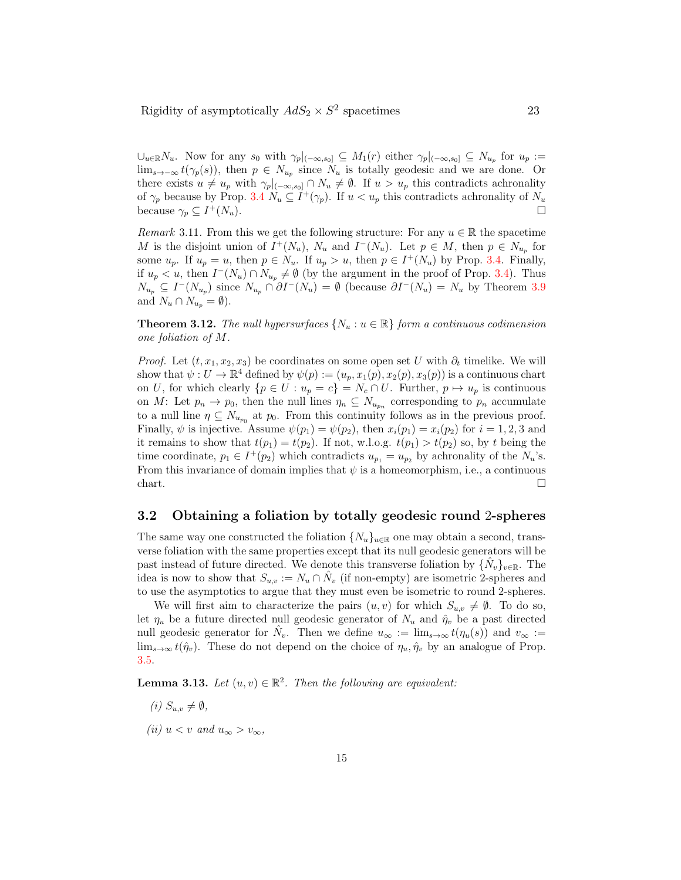$\cup_{u\in\mathbb{R}}N_u$ . Now for any  $s_0$  with  $\gamma_p|_{(-\infty,s_0]} \subseteq M_1(r)$  either  $\gamma_p|_{(-\infty,s_0]} \subseteq N_{u_p}$  for  $u_p :=$  $\lim_{s\to-\infty} t(\gamma_p(s))$ , then  $p \in N_{u_p}$  since  $N_u$  is totally geodesic and we are done. Or there exists  $u \neq u_p$  with  $\gamma_p|_{(-\infty,s_0]} \cap N_u \neq \emptyset$ . If  $u > u_p$  this contradicts achronality of  $\gamma_p$  because by Prop. 3.4  $N_u \subseteq I^+(\gamma_p)$ . If  $u < u_p$  this contradicts achronality of  $N_u$ because  $\gamma_p \subseteq I^+(N_u)$ .  $^{+}(N_u)$ .

*Remark* 3.11. From this we get the following structure: For any  $u \in \mathbb{R}$  the spacetime M is the disjoint union of  $I^+(N_u)$ ,  $N_u$  and  $I^-(N_u)$ . Let  $p \in M$ , then  $p \in N_{u_p}$  for some  $u_p$ . If  $u_p = u$ , then  $p \in N_u$ . If  $u_p > u$ , then  $p \in I^+(N_u)$  by Prop. 3.4. Finally, if  $u_p < u$ , then  $I^-(N_u) \cap N_{u_p} \neq \emptyset$  (by the argument in the proof of Prop. 3.4). Thus  $N_{u_p} \subseteq I^{-}(N_{u_p})$  since  $N_{u_p} \cap \partial I^{-}(N_u) = \emptyset$  (because  $\partial I^{-}(N_u) = N_u$  by Theorem 3.9 and  $N_u \cap N_{u_p} = \emptyset$ ).

**Theorem 3.12.** The null hypersurfaces  $\{N_u : u \in \mathbb{R}\}\$  form a continuous codimension one foliation of M.

*Proof.* Let  $(t, x_1, x_2, x_3)$  be coordinates on some open set U with  $\partial_t$  timelike. We will show that  $\psi: U \to \mathbb{R}^4$  defined by  $\psi(p) := (u_p, x_1(p), x_2(p), x_3(p))$  is a continuous chart on U, for which clearly  $\{p \in U : u_p = c\} = N_c \cap U$ . Further,  $p \mapsto u_p$  is continuous on M: Let  $p_n \to p_0$ , then the null lines  $\eta_n \subseteq N_{u_{p_n}}$  corresponding to  $p_n$  accumulate to a null line  $\eta \subseteq N_{u_{p_0}}$  at  $p_0$ . From this continuity follows as in the previous proof. Finally,  $\psi$  is injective. Assume  $\psi(p_1) = \psi(p_2)$ , then  $x_i(p_1) = x_i(p_2)$  for  $i = 1, 2, 3$  and it remains to show that  $t(p_1) = t(p_2)$ . If not, w.l.o.g.  $t(p_1) > t(p_2)$  so, by t being the time coordinate,  $p_1 \in I^+(p_2)$  which contradicts  $u_{p_1} = u_{p_2}$  by achronality of the  $N_u$ 's. From this invariance of domain implies that  $\psi$  is a homeomorphism, i.e., a continuous chart.

#### 3.2 Obtaining a foliation by totally geodesic round 2-spheres

The same way one constructed the foliation  $\{N_u\}_{u\in\mathbb{R}}$  one may obtain a second, transverse foliation with the same properties except that its null geodesic generators will be past instead of future directed. We denote this transverse foliation by  $\{\hat{N}_v\}_{v \in \mathbb{R}}$ . The idea is now to show that  $S_{u,v} := N_u \cap \hat{N}_v$  (if non-empty) are isometric 2-spheres and to use the asymptotics to argue that they must even be isometric to round 2-spheres.

We will first aim to characterize the pairs  $(u, v)$  for which  $S_{u,v} \neq \emptyset$ . To do so, let  $\eta_u$  be a future directed null geodesic generator of  $N_u$  and  $\hat{\eta}_v$  be a past directed null geodesic generator for  $\hat{N}_v$ . Then we define  $u_\infty := \lim_{s\to\infty} t(\eta_u(s))$  and  $v_\infty :=$  $\lim_{s\to\infty} t(\hat{\eta}_v)$ . These do not depend on the choice of  $\eta_u, \hat{\eta}_v$  by an analogue of Prop. 3.5.

**Lemma 3.13.** Let  $(u, v) \in \mathbb{R}^2$ . Then the following are equivalent:

- (i)  $S_{u,v} \neq \emptyset$ ,
- (ii)  $u < v$  and  $u_{\infty} > v_{\infty}$ ,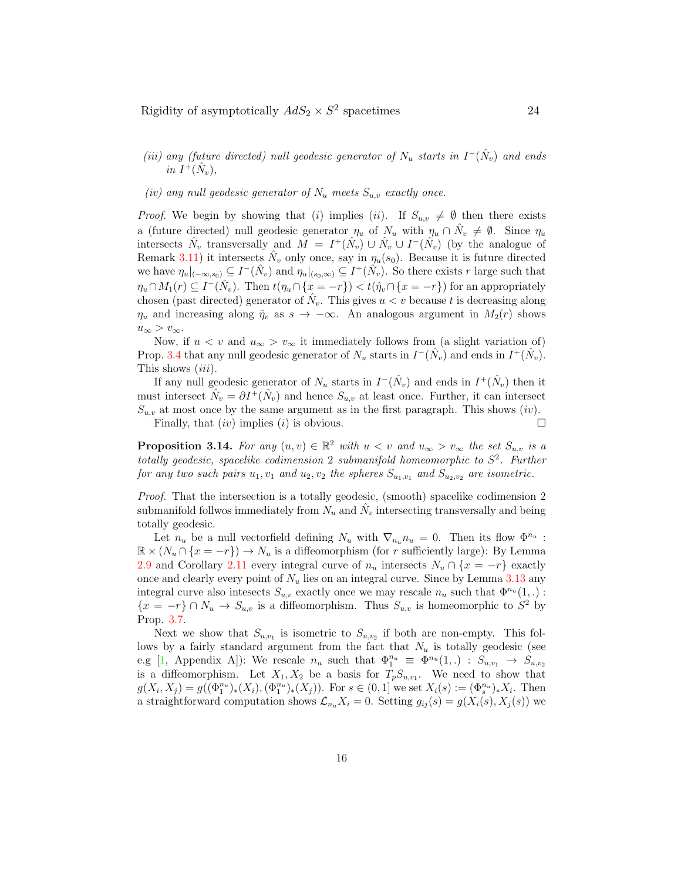- (iii) any (future directed) null geodesic generator of  $N_u$  starts in  $I^-(\hat{N}_v)$  and ends in  $I^+(\hat{N}_v)$ ,
- (iv) any null geodesic generator of  $N_u$  meets  $S_{u,v}$  exactly once.

*Proof.* We begin by showing that (i) implies (ii). If  $S_{u,v} \neq \emptyset$  then there exists a (future directed) null geodesic generator  $\eta_u$  of  $N_u$  with  $\eta_u \cap N_v \neq \emptyset$ . Since  $\eta_u$ intersects  $\hat{N}_v$  transversally and  $M = I^+(\hat{N}_v) \cup \hat{N}_v \cup I^-(\hat{N}_v)$  (by the analogue of Remark 3.11) it intersects  $\hat{N}_v$  only once, say in  $\eta_u(s_0)$ . Because it is future directed we have  $\eta_u|_{(-\infty,s_0)} \subseteq I^-(\hat{N}_v)$  and  $\eta_u|_{(s_0,\infty)} \subseteq I^+(\hat{N}_v)$ . So there exists r large such that  $\eta_u \cap M_1(r) \subseteq I^-(\hat{N}_v)$ . Then  $t(\eta_u \cap \{x = -r\}) < t(\hat{\eta}_v \cap \{x = -r\})$  for an appropriately chosen (past directed) generator of  $\hat{N}_v$ . This gives  $u < v$  because t is decreasing along  $\eta_u$  and increasing along  $\hat{\eta}_v$  as  $s \to -\infty$ . An analogous argument in  $M_2(r)$  shows  $u_{\infty} > v_{\infty}$ .

Now, if  $u < v$  and  $u_{\infty} > v_{\infty}$  it immediately follows from (a slight variation of) Prop. 3.4 that any null geodesic generator of  $N_u$  starts in  $I^-(\hat{N}_v)$  and ends in  $I^+(\hat{N}_v)$ . This shows *(iii)*.

If any null geodesic generator of  $N_u$  starts in  $I^-(\hat{N}_v)$  and ends in  $I^+(\hat{N}_v)$  then it must intersect  $\hat{N}_v = \partial I^+(\hat{N}_v)$  and hence  $S_{u,v}$  at least once. Further, it can intersect  $S_{u,v}$  at most once by the same argument as in the first paragraph. This shows (iv). Finally, that  $(iv)$  implies  $(i)$  is obvious.

**Proposition 3.14.** For any  $(u, v) \in \mathbb{R}^2$  with  $u < v$  and  $u_{\infty} > v_{\infty}$  the set  $S_{u,v}$  is a totally geodesic, spacelike codimension 2 submanifold homeomorphic to  $S^2$ . Further for any two such pairs  $u_1, v_1$  and  $u_2, v_2$  the spheres  $S_{u_1, v_1}$  and  $S_{u_2, v_2}$  are isometric.

Proof. That the intersection is a totally geodesic, (smooth) spacelike codimension 2 submanifold follwos immediately from  $N_u$  and  $\hat{N}_v$  intersecting transversally and being totally geodesic.

Let  $n_u$  be a null vectorfield defining  $N_u$  with  $\nabla_{n_u} n_u = 0$ . Then its flow  $\Phi^{n_u}$ :  $\mathbb{R} \times (N_u \cap \{x = -r\}) \to N_u$  is a diffeomorphism (for r sufficiently large): By Lemma 2.9 and Corollary 2.11 every integral curve of  $n_u$  intersects  $N_u \cap \{x = -r\}$  exactly once and clearly every point of  $N_u$  lies on an integral curve. Since by Lemma 3.13 any integral curve also intesects  $S_{u,v}$  exactly once we may rescale  $n_u$  such that  $\Phi^{n_u}(1,.)$ :  ${x = -r} \cap N_u \to S_{u,v}$  is a diffeomorphism. Thus  $S_{u,v}$  is homeomorphic to  $S^2$  by Prop. 3.7.

Next we show that  $S_{u,v_1}$  is isometric to  $S_{u,v_2}$  if both are non-empty. This follows by a fairly standard argument from the fact that  $N_u$  is totally geodesic (see e.g [1, Appendix A]): We rescale  $n_u$  such that  $\Phi_1^{n_u} \equiv \Phi^{n_u}(1,.) : S_{u,v_1} \to S_{u,v_2}$ is a diffeomorphism. Let  $X_1, X_2$  be a basis for  $T_pS_{u,v_1}$ . We need to show that  $g(X_i, X_j) = g((\Phi_1^{n_u})_*(X_i), (\Phi_1^{n_u})_*(X_j))$ . For  $s \in (0,1]$  we set  $X_i(s) := (\Phi_s^{n_u})_* X_i$ . Then a straightforward computation shows  $\mathcal{L}_{n_u}X_i = 0$ . Setting  $g_{ij}(s) = g(X_i(s), X_j(s))$  we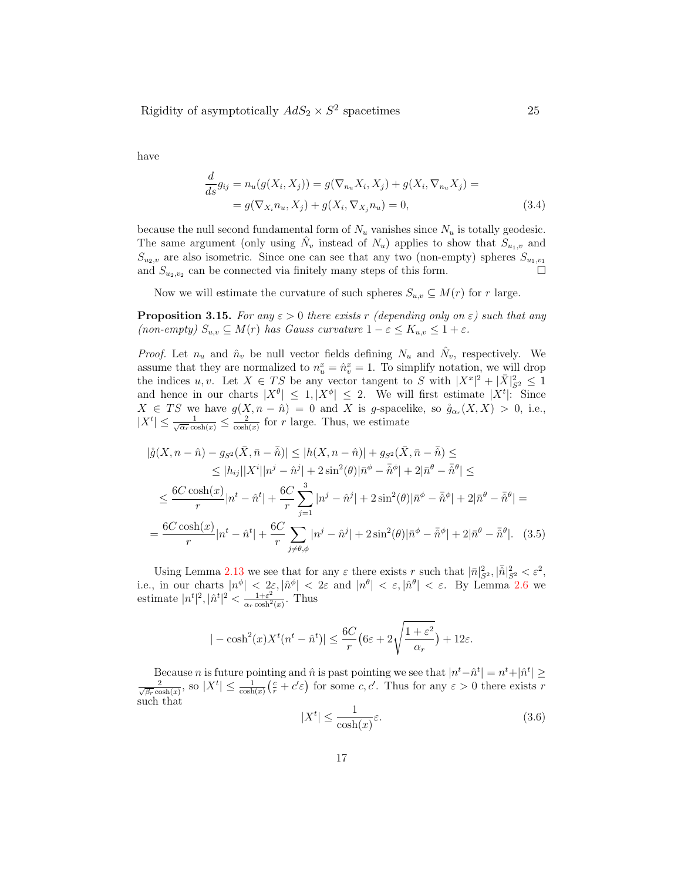have

$$
\frac{d}{ds}g_{ij} = n_u(g(X_i, X_j)) = g(\nabla_{n_u} X_i, X_j) + g(X_i, \nabla_{n_u} X_j) =
$$
  
=  $g(\nabla_{X_i} n_u, X_j) + g(X_i, \nabla_{X_j} n_u) = 0,$  (3.4)

because the null second fundamental form of  $N_u$  vanishes since  $N_u$  is totally geodesic. The same argument (only using  $\hat{N}_v$  instead of  $N_u$ ) applies to show that  $S_{u_1,v}$  and  $S_{u_2,v}$  are also isometric. Since one can see that any two (non-empty) spheres  $S_{u_1,v_1}$ and  $S_{u_2,v_2}$  can be connected via finitely many steps of this form.

Now we will estimate the curvature of such spheres  $S_{u,v} \subseteq M(r)$  for r large.

**Proposition 3.15.** For any  $\varepsilon > 0$  there exists r (depending only on  $\varepsilon$ ) such that any (non-empty)  $S_{u,v} \subseteq M(r)$  has Gauss curvature  $1 - \varepsilon \le K_{u,v} \le 1 + \varepsilon$ .

*Proof.* Let  $n_u$  and  $\hat{n}_v$  be null vector fields defining  $N_u$  and  $\hat{N}_v$ , respectively. We assume that they are normalized to  $n_u^x = \hat{n}_v^x = 1$ . To simplify notation, we will drop the indices  $u, v$ . Let  $X \in TS$  be any vector tangent to S with  $|X^x|^2 + |\bar{X}|^2_{S^2} \leq 1$ and hence in our charts  $|X^{\theta}| \leq 1, |X^{\phi}| \leq 2$ . We will first estimate  $|X^t|$ : Since  $X \in TS$  we have  $g(X, n - \hat{n}) = 0$  and X is g-spacelike, so  $\mathring{g}_{\alpha_r}(X, X) > 0$ , i.e.,  $|X^t| \leq \frac{1}{\sqrt{\alpha_r} \cosh(x)} \leq \frac{2}{\cosh(x)}$  for r large. Thus, we estimate

$$
|\mathring{g}(X, n - \hat{n}) - g_{S^2}(\bar{X}, \bar{n} - \bar{\hat{n}})| \le |h(X, n - \hat{n})| + g_{S^2}(\bar{X}, \bar{n} - \bar{\hat{n}}) \le
$$
  
\n
$$
\le |h_{ij}||X^i||n^j - \hat{n}^j| + 2\sin^2(\theta)|\bar{n}^{\phi} - \bar{\hat{n}}^{\phi}| + 2|\bar{n}^{\theta} - \bar{\hat{n}}^{\theta}| \le
$$
  
\n
$$
\le \frac{6C \cosh(x)}{r}|n^t - \hat{n}^t| + \frac{6C}{r} \sum_{j=1}^3 |n^j - \hat{n}^j| + 2\sin^2(\theta)|\bar{n}^{\phi} - \bar{\hat{n}}^{\phi}| + 2|\bar{n}^{\theta} - \bar{\hat{n}}^{\theta}| =
$$
  
\n
$$
= \frac{6C \cosh(x)}{r}|n^t - \hat{n}^t| + \frac{6C}{r} \sum_{j \neq \theta, \phi} |n^j - \hat{n}^j| + 2\sin^2(\theta)|\bar{n}^{\phi} - \bar{\hat{n}}^{\phi}| + 2|\bar{n}^{\theta} - \bar{\hat{n}}^{\theta}|. \quad (3.5)
$$

Using Lemma 2.13 we see that for any  $\varepsilon$  there exists r such that  $|\bar{n}|^2_{S^2}, |\bar{n}|^2_{S^2} < \varepsilon^2$ , i.e., in our charts  $|n^{\phi}| < 2\varepsilon$ ,  $|\hat{n}^{\phi}| < 2\varepsilon$  and  $|n^{\theta}| < \varepsilon$ ,  $|\hat{n}^{\theta}| < \varepsilon$ . By Lemma 2.6 we estimate  $|n^t|^2$ ,  $|\hat{n}^t|^2 < \frac{1+\varepsilon^2}{\alpha_r \cosh^2(x)}$ . Thus

$$
|-\cosh^2(x)X^t(n^t - \hat{n}^t)| \le \frac{6C}{r}\left(6\varepsilon + 2\sqrt{\frac{1+\varepsilon^2}{\alpha_r}}\right) + 12\varepsilon.
$$

Because *n* is future pointing and  $\hat{n}$  is past pointing we see that  $|n^t - \hat{n}^t| = n^t + |\hat{n}^t| \ge$  $\frac{2}{\sqrt{\beta_r}\cosh(x)}$ , so  $|X^t| \leq \frac{1}{\cosh(x)}(\frac{e}{r}+c'\varepsilon)$  for some  $c, c'$ . Thus for any  $\varepsilon > 0$  there exists r such that

$$
|X^t| \le \frac{1}{\cosh(x)} \varepsilon. \tag{3.6}
$$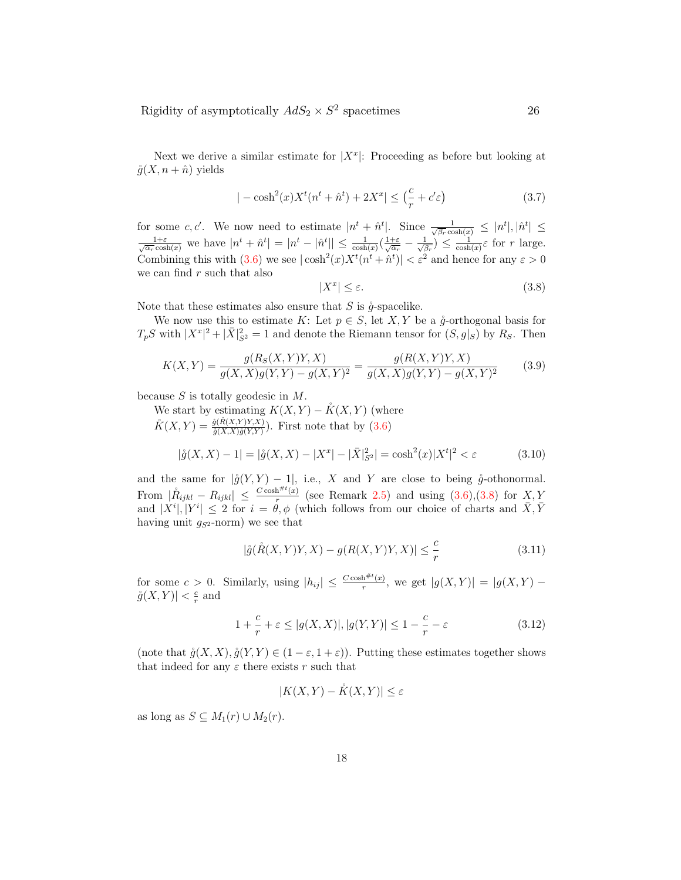Next we derive a similar estimate for  $|X^x|$ : Proceeding as before but looking at  $\mathring{g}(X, n + \hat{n})$  yields

$$
|-\cosh^{2}(x)X^{t}(n^{t}+\hat{n}^{t})+2X^{x}| \leq \left(\frac{c}{r}+c'\varepsilon\right)
$$
\n(3.7)

for some c, c'. We now need to estimate  $|n^t + \hat{n}^t|$ . Since  $\frac{1}{\sqrt{\beta_r} \cosh(x)} \leq |n^t|, |\hat{n}^t| \leq$  $\frac{1+\varepsilon}{\sqrt{\alpha_r}\cosh(x)}$  we have  $|n^t + \hat{n}^t| = |n^t - \hat{n}^t|| \le \frac{1}{\cosh(x)}(\frac{1+\varepsilon}{\sqrt{\alpha_r}} - \frac{1}{\sqrt{\beta_r}}) \le \frac{1}{\cosh(x)}\varepsilon$  for r large. Combining this with  $(3.6)$  we see  $|\cosh^2(x)X^t(n^t + \hat{n}^t)| < \varepsilon^2$  and hence for any  $\varepsilon > 0$ we can find  $r$  such that also

$$
|X^x| \le \varepsilon. \tag{3.8}
$$

Note that these estimates also ensure that  $S$  is  $\overset{\circ}{q}$ -spacelike.

We now use this to estimate K: Let  $p \in S$ , let X, Y be a  $\mathring{g}$ -orthogonal basis for  $T_pS$  with  $|X^x|^2 + |\bar{X}|^2_{S^2} = 1$  and denote the Riemann tensor for  $(S, g|_S)$  by  $R_S$ . Then

$$
K(X,Y) = \frac{g(R_S(X,Y)Y,X)}{g(X,X)g(Y,Y) - g(X,Y)^2} = \frac{g(R(X,Y)Y,X)}{g(X,X)g(Y,Y) - g(X,Y)^2}
$$
(3.9)

because  $S$  is totally geodesic in  $M$ .

We start by estimating  $K(X, Y) - \overset{\circ}{K}(X, Y)$  (where  $\mathring{K}(X,Y) = \frac{\mathring{g}(\mathring{R}(X,Y)Y,X)}{\mathring{g}(X,X)\mathring{g}(Y,Y)}$ . First note that by (3.6)  $|\mathring{g}(X,X) - 1| = |\mathring{g}(X,X) - |X^x| - |\bar{X}|^2_{S^2}| = \cosh^2(x)|X^t|$ 

$$
|\mathring{g}(X,X) - 1| = |\mathring{g}(X,X) - |X^x| - |\bar{X}|^2_{S^2}| = \cosh^2(x)|X^t|^2 < \varepsilon
$$
 (3.10)  
and the same for  $|\mathring{g}(Y,Y) - 1|$ , i.e., X and Y are close to being  $\mathring{g}$ -othonormal.

From  $|\mathring{R}_{ijkl} - R_{ijkl}| \leq \frac{C \cosh^{\#t}(x)}{r}$  $\frac{n^{n}-(x)}{r}$  (see Remark 2.5) and using  $(3.6),(3.8)$  for  $X, Y$ and  $|X^i|, |Y^i| \leq 2$  for  $i = \theta, \phi$  (which follows from our choice of charts and  $\bar{X}, \bar{Y}$ having unit  $g_{S^2}$ -norm) we see that

$$
|\mathring{g}(\mathring{R}(X,Y)Y,X) - g(R(X,Y)Y,X)| \le \frac{c}{r}
$$
\n(3.11)

for some  $c > 0$ . Similarly, using  $|h_{ij}| \leq \frac{C \cosh^{i\#t}(x)}{r}$  $\frac{\ln^{n}f(x)}{r}$ , we get  $|g(X,Y)| = |g(X,Y)| |\overset{\circ}{g}(X,Y)| < \frac{c}{r}$  and

$$
1 + \frac{c}{r} + \varepsilon \le |g(X, X)|, |g(Y, Y)| \le 1 - \frac{c}{r} - \varepsilon
$$
\n(3.12)

(note that  $\mathring{g}(X, X), \mathring{g}(Y, Y) \in (1 - \varepsilon, 1 + \varepsilon)$ ). Putting these estimates together shows that indeed for any  $\varepsilon$  there exists r such that

$$
|K(X,Y) - \mathring{K}(X,Y)| \le \varepsilon
$$

as long as  $S \subseteq M_1(r) \cup M_2(r)$ .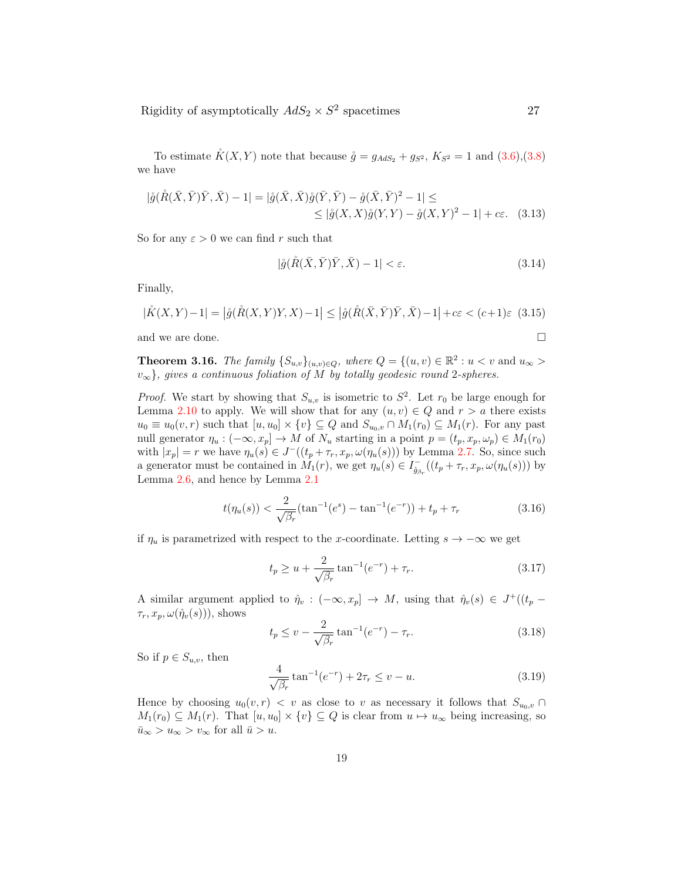To estimate  $K(X, Y)$  note that because  $\mathring{g} = g_{AdS_2} + g_{S^2}$ ,  $K_{S^2} = 1$  and  $(3.6),(3.8)$ we have

$$
|\mathring{g}(\mathring{R}(\bar{X}, \bar{Y})\bar{Y}, \bar{X}) - 1| = |\mathring{g}(\bar{X}, \bar{X})\mathring{g}(\bar{Y}, \bar{Y}) - \mathring{g}(\bar{X}, \bar{Y})^2 - 1| \leq
$$
  
\$\leq |\mathring{g}(X, X)\mathring{g}(Y, Y) - \mathring{g}(X, Y)^2 - 1| + c\epsilon. (3.13)

So for any  $\varepsilon > 0$  we can find r such that

$$
|\mathring{g}(\mathring{R}(\bar{X},\bar{Y})\bar{Y},\bar{X})-1|<\varepsilon.\tag{3.14}
$$

Finally,

$$
|\mathring{K}(X,Y) - 1| = |\mathring{g}(\mathring{R}(X,Y)Y,X) - 1| \le |\mathring{g}(\mathring{R}(\bar{X},\bar{Y})\bar{Y},\bar{X}) - 1| + c\varepsilon < (c+1)\varepsilon
$$
(3.15)

and we are done.  $\hfill \square$ 

**Theorem 3.16.** The family 
$$
\{S_{u,v}\}_{(u,v)\in Q}
$$
, where  $Q = \{(u,v) \in \mathbb{R}^2 : u < v \text{ and } u_{\infty} > v_{\infty}\}\$ , gives a continuous foliation of M by totally geodesic round 2-spheres.

*Proof.* We start by showing that  $S_{u,v}$  is isometric to  $S^2$ . Let  $r_0$  be large enough for Lemma 2.10 to apply. We will show that for any  $(u, v) \in Q$  and  $r > a$  there exists  $u_0 \equiv u_0(v,r)$  such that  $[u, u_0] \times \{v\} \subseteq Q$  and  $S_{u_0,v} \cap M_1(r_0) \subseteq M_1(r)$ . For any past null generator  $\eta_u : (-\infty, x_p] \to M$  of  $N_u$  starting in a point  $p = (t_p, x_p, \omega_p) \in M_1(r_0)$ with  $|x_p| = r$  we have  $\eta_u(s) \in J^-(t_p + \tau_r, x_p, \omega(\eta_u(s)))$  by Lemma 2.7. So, since such a generator must be contained in  $M_1(r)$ , we get  $\eta_u(s) \in I_{\hat{g}_{\beta_r}}^-(t_p + \tau_r, x_p, \omega(\eta_u(s)))$  by Lemma 2.6, and hence by Lemma 2.1

$$
t(\eta_u(s)) < \frac{2}{\sqrt{\beta_r}}(\tan^{-1}(e^s) - \tan^{-1}(e^{-r})) + t_p + \tau_r \tag{3.16}
$$

if  $\eta_u$  is parametrized with respect to the x-coordinate. Letting  $s \to -\infty$  we get

$$
t_p \ge u + \frac{2}{\sqrt{\beta_r}} \tan^{-1}(e^{-r}) + \tau_r.
$$
 (3.17)

A similar argument applied to  $\hat{\eta}_v : (-\infty, x_p] \to M$ , using that  $\hat{\eta}_v(s) \in J^+((t_p \tau_r, x_p, \omega(\hat{\eta}_v(s)))$ , shows

$$
t_p \le v - \frac{2}{\sqrt{\beta_r}} \tan^{-1}(e^{-r}) - \tau_r.
$$
 (3.18)

So if  $p \in S_{u,v}$ , then

$$
\frac{4}{\sqrt{\beta_r}} \tan^{-1}(e^{-r}) + 2\tau_r \le v - u.
$$
 (3.19)

Hence by choosing  $u_0(v, r) < v$  as close to v as necessary it follows that  $S_{u_0,v} \cap$  $M_1(r_0) \subseteq M_1(r)$ . That  $[u, u_0] \times \{v\} \subseteq Q$  is clear from  $u \mapsto u_\infty$  being increasing, so  $\bar{u}_{\infty} > u_{\infty} > v_{\infty}$  for all  $\bar{u} > u$ .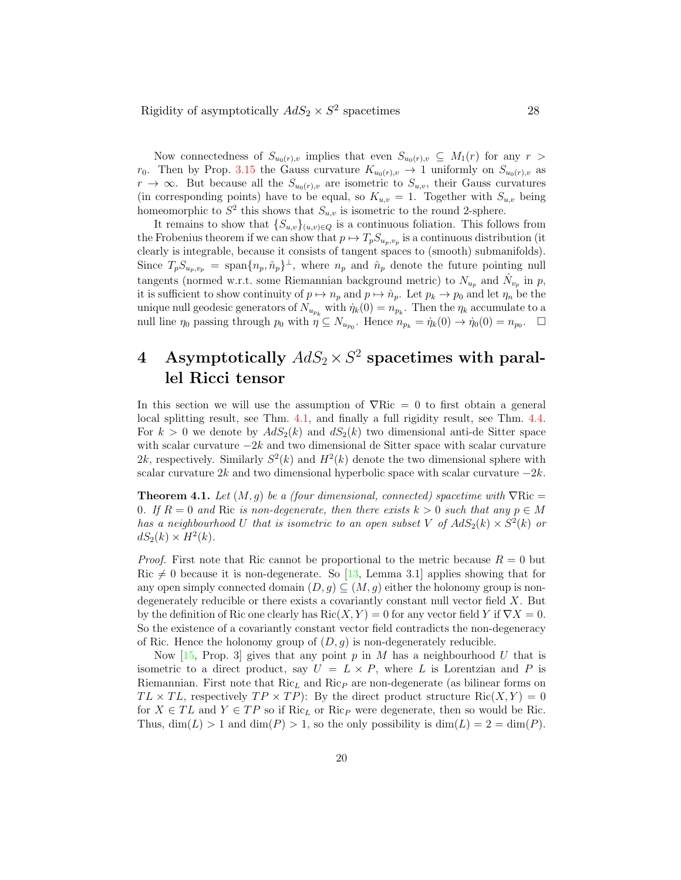Now connectedness of  $S_{u_0(r),v}$  implies that even  $S_{u_0(r),v} \subseteq M_1(r)$  for any  $r >$  $r_0$ . Then by Prop. 3.15 the Gauss curvature  $K_{u_0(r),v} \to 1$  uniformly on  $S_{u_0(r),v}$  as  $r \to \infty$ . But because all the  $S_{u_0(r),v}$  are isometric to  $S_{u,v}$ , their Gauss curvatures (in corresponding points) have to be equal, so  $K_{u,v} = 1$ . Together with  $S_{u,v}$  being homeomorphic to  $S^2$  this shows that  $S_{u,v}$  is isometric to the round 2-sphere.

It remains to show that  $\{S_{u,v}\}_{(u,v)\in Q}$  is a continuous foliation. This follows from the Frobenius theorem if we can show that  $p \mapsto T_p S_{u_p, v_p}$  is a continuous distribution (it clearly is integrable, because it consists of tangent spaces to (smooth) submanifolds). Since  $T_p S_{u_p, v_p} = \text{span}\{n_p, \hat{n}_p\}^{\perp}$ , where  $n_p$  and  $\hat{n}_p$  denote the future pointing null tangents (normed w.r.t. some Riemannian background metric) to  $N_{u_p}$  and  $\hat{N}_{v_p}$  in  $p$ , it is sufficient to show continuity of  $p \mapsto n_p$  and  $p \mapsto \hat{n}_p$ . Let  $p_k \to p_0$  and let  $\eta_n$  be the unique null geodesic generators of  $N_{u_{p_k}}$  with  $\dot{\eta}_k(0) = n_{p_k}$ . Then the  $\eta_k$  accumulate to a null line  $\eta_0$  passing through  $p_0$  with  $\eta \subseteq N_{u_{p_0}}$ . Hence  $n_{p_k} = \dot{\eta}_k(0) \to \dot{\eta}_0(0) = n_{p_0}$ .  $\Box$ 

# 4 Asymptotically  $AdS_2\times S^2$  spacetimes with parallel Ricci tensor

In this section we will use the assumption of  $\nabla Ric = 0$  to first obtain a general local splitting result, see Thm. 4.1, and finally a full rigidity result, see Thm. 4.4. For  $k > 0$  we denote by  $AdS_2(k)$  and  $dS_2(k)$  two dimensional anti-de Sitter space with scalar curvature  $-2k$  and two dimensional de Sitter space with scalar curvature 2k, respectively. Similarly  $S^2(k)$  and  $H^2(k)$  denote the two dimensional sphere with scalar curvature 2k and two dimensional hyperbolic space with scalar curvature  $-2k$ .

**Theorem 4.1.** Let  $(M, q)$  be a (four dimensional, connected) spacetime with  $\nabla$ Ric = 0. If  $R = 0$  and Ric is non-degenerate, then there exists  $k > 0$  such that any  $p \in M$ has a neighbourhood U that is isometric to an open subset V of  $AdS_2(k) \times S^2(k)$  or  $dS_2(k) \times H^2(k)$ .

*Proof.* First note that Ric cannot be proportional to the metric because  $R = 0$  but Ric  $\neq 0$  because it is non-degenerate. So [13, Lemma 3.1] applies showing that for any open simply connected domain  $(D, g) \subseteq (M, g)$  either the holonomy group is nondegenerately reducible or there exists a covariantly constant null vector field X. But by the definition of Ric one clearly has  $Ric(X, Y) = 0$  for any vector field Y if  $\nabla X = 0$ . So the existence of a covariantly constant vector field contradicts the non-degeneracy of Ric. Hence the holonomy group of  $(D, g)$  is non-degenerately reducible.

Now  $[15,$  Prop. 3 gives that any point p in M has a neighbourhood U that is isometric to a direct product, say  $U = L \times P$ , where L is Lorentzian and P is Riemannian. First note that  $Ric<sub>L</sub>$  and  $Ric<sub>P</sub>$  are non-degenerate (as bilinear forms on  $TL \times TL$ , respectively  $TP \times TP$ : By the direct product structure Ric $(X, Y) = 0$ for  $X \in TL$  and  $Y \in TP$  so if Ric<sub>L</sub> or Ric<sub>P</sub> were degenerate, then so would be Ric. Thus,  $\dim(L) > 1$  and  $\dim(P) > 1$ , so the only possibility is  $\dim(L) = 2 = \dim(P)$ .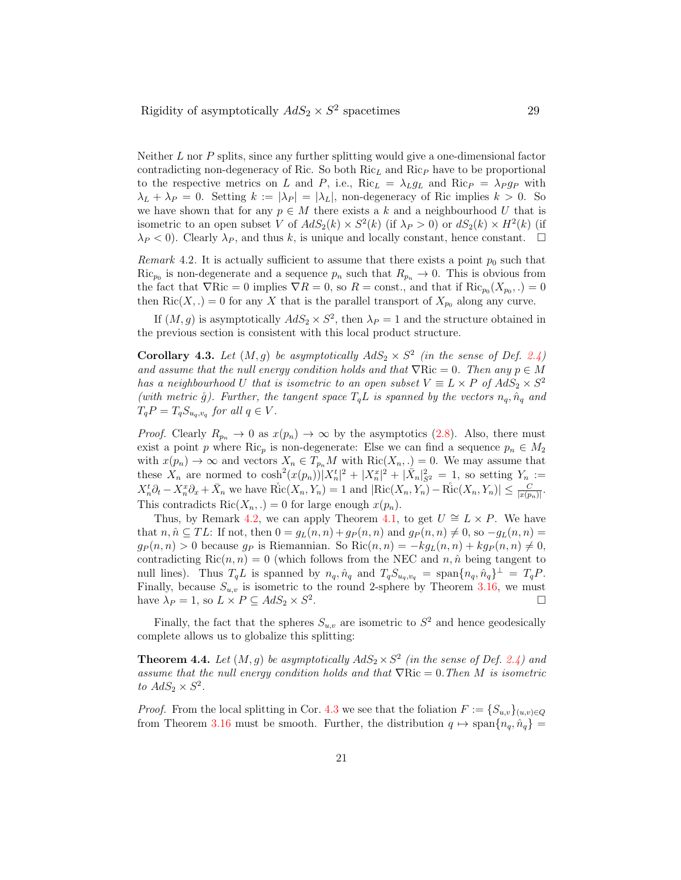Neither  $L$  nor  $P$  splits, since any further splitting would give a one-dimensional factor contradicting non-degeneracy of Ric. So both  $Ric<sub>L</sub>$  and  $Ric<sub>P</sub>$  have to be proportional to the respective metrics on L and P, i.e., Ric<sub>L</sub> =  $\lambda_L g_L$  and Ric<sub>P</sub> =  $\lambda_P g_P$  with  $\lambda_L + \lambda_P = 0$ . Setting  $k := |\lambda_P| = |\lambda_L|$ , non-degeneracy of Ric implies  $k > 0$ . So we have shown that for any  $p \in M$  there exists a k and a neighbourhood U that is isometric to an open subset V of  $AdS_2(k) \times S^2(k)$  (if  $\lambda_P > 0$ ) or  $dS_2(k) \times H^2(k)$  (if  $\lambda_P < 0$ ). Clearly  $\lambda_P$ , and thus k, is unique and locally constant, hence constant.

Remark 4.2. It is actually sufficient to assume that there exists a point  $p_0$  such that  $\text{Ric}_{p_0}$  is non-degenerate and a sequence  $p_n$  such that  $R_{p_n} \to 0$ . This is obvious from the fact that  $\nabla \text{R} = 0$  implies  $\nabla R = 0$ , so  $R = \text{const.}$ , and that if  $\text{Ric}_{p_0}(X_{p_0},.) = 0$ then Ric $(X, .) = 0$  for any X that is the parallel transport of  $X_{p_0}$  along any curve.

If  $(M, g)$  is asymptotically  $AdS_2 \times S^2$ , then  $\lambda_P = 1$  and the structure obtained in the previous section is consistent with this local product structure.

**Corollary 4.3.** Let  $(M, g)$  be asymptotically  $AdS_2 \times S^2$  (in the sense of Def. 2.4) and assume that the null energy condition holds and that  $\nabla$ Ric = 0. Then any  $p \in M$ has a neighbourhood U that is isometric to an open subset  $V \equiv L \times P$  of  $AdS_2 \times S^2$ (with metric  $\mathring{g}$ ). Further, the tangent space  $T_qL$  is spanned by the vectors  $n_q$ ,  $\hat{n}_q$  and  $T_qP = T_qS_{u_q,v_q}$  for all  $q \in V$ .

*Proof.* Clearly  $R_{p_n} \to 0$  as  $x(p_n) \to \infty$  by the asymptotics (2.8). Also, there must exist a point p where Ric<sub>p</sub> is non-degenerate: Else we can find a sequence  $p_n \in M_2$ with  $x(p_n) \to \infty$  and vectors  $X_n \in T_{p_n}M$  with  $\text{Ric}(X_n, \cdot) = 0$ . We may assume that these  $X_n$  are normed to  $\cosh^2(x(p_n))|X_n^t|^2 + |X_n^x|^2 + |\bar{X}_n|^2_{S^2} = 1$ , so setting  $Y_n :=$  $X_n^t \partial_t - X_n^x \partial_x + \bar{X}_n$  we have  $\overset{\circ}{\text{Ric}}(X_n, Y_n) = 1$  and  $|\text{Ric}(X_n, Y_n) - \overset{\circ}{\text{Ric}}(X_n, Y_n)| \leq \frac{C}{|x(p_n)|}$ . This contradicts  $\text{Ric}(X_n,.)=0$  for large enough  $x(p_n)$ .

Thus, by Remark 4.2, we can apply Theorem 4.1, to get  $U \cong L \times P$ . We have that  $n, \hat{n} \subseteq TL$ : If not, then  $0 = g_L(n,n) + gp(n,n)$  and  $gp(n,n) \neq 0$ , so  $-g_L(n,n)$  $g_P(n,n) > 0$  because  $g_P$  is Riemannian. So  $\text{Ric}(n,n) = -k g_L(n,n) + k g_P(n,n) \neq 0$ , contradicting  $\text{Ric}(n, n) = 0$  (which follows from the NEC and  $n, \hat{n}$  being tangent to null lines). Thus  $T_qL$  is spanned by  $n_q$ ,  $\hat{n}_q$  and  $T_qS_{u_q,v_q} = \text{span}\{n_q, \hat{n}_q\}^{\perp} = T_qP$ . Finally, because  $S_{u,v}$  is isometric to the round 2-sphere by Theorem 3.16, we must have  $\lambda_P = 1$ , so  $L \times P \subseteq AdS_2 \times S^2$ .

Finally, the fact that the spheres  $S_{u,v}$  are isometric to  $S^2$  and hence geodesically complete allows us to globalize this splitting:

**Theorem 4.4.** Let  $(M, g)$  be asymptotically  $AdS_2 \times S^2$  (in the sense of Def. 2.4) and assume that the null energy condition holds and that  $\nabla Ric = 0$ . Then M is isometric to  $AdS_2 \times S^2$ .

*Proof.* From the local splitting in Cor. 4.3 we see that the foliation  $F := \{S_{u,v}\}_{(u,v)\in Q}$ from Theorem 3.16 must be smooth. Further, the distribution  $q \mapsto \text{span}\{n_q, \hat{n}_q\}$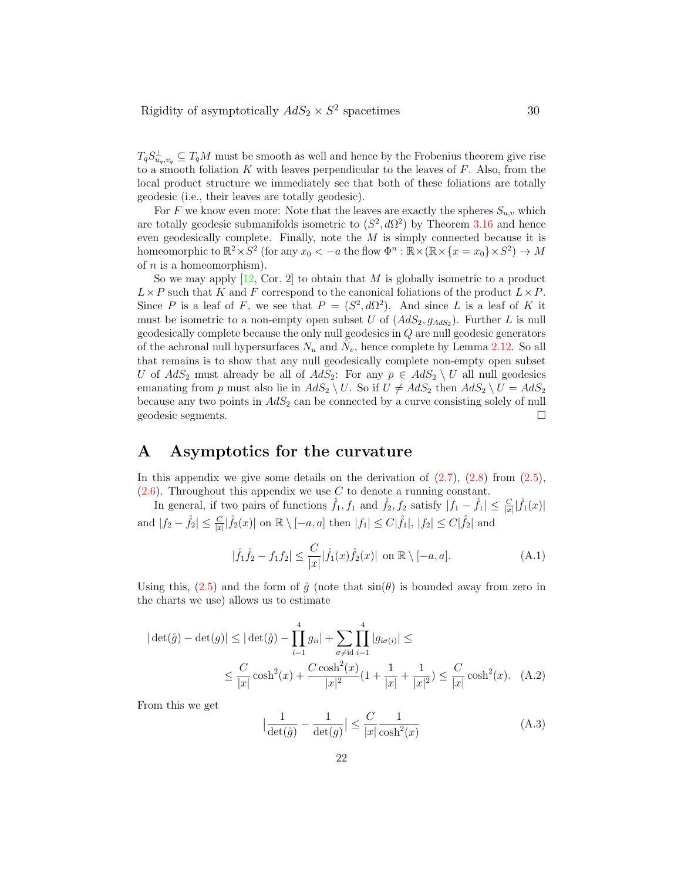$T_q S_{u_q,v_q}^{\perp} \subseteq T_qM$  must be smooth as well and hence by the Frobenius theorem give rise to a smooth foliation  $K$  with leaves perpendicular to the leaves of  $F$ . Also, from the local product structure we immediately see that both of these foliations are totally geodesic (i.e., their leaves are totally geodesic).

For F we know even more: Note that the leaves are exactly the spheres  $S_{u,v}$  which are totally geodesic submanifolds isometric to  $(S^2, d\Omega^2)$  by Theorem 3.16 and hence even geodesically complete. Finally, note the  $M$  is simply connected because it is homeomorphic to  $\mathbb{R}^2 \times S^2$  (for any  $x_0 < -a$  the flow  $\Phi^n : \mathbb{R} \times (\mathbb{R} \times \{x = x_0\} \times S^2) \to M$ of  $n$  is a homeomorphism).

So we may apply  $[12, \text{Cor. 2}]$  to obtain that M is globally isometric to a product  $L \times P$  such that K and F correspond to the canonical foliations of the product  $L \times P$ . Since P is a leaf of F, we see that  $P = (S^2, d\Omega^2)$ . And since L is a leaf of K it must be isometric to a non-empty open subset U of  $(AdS_2, g_{AdS_2})$ . Further L is null geodesically complete because the only null geodesics in Q are null geodesic generators of the achronal null hypersurfaces  $N_u$  and  $\hat{N}_v$ , hence complete by Lemma 2.12. So all that remains is to show that any null geodesically complete non-empty open subset U of  $AdS_2$  must already be all of  $AdS_2$ : For any  $p \in AdS_2 \setminus U$  all null geodesics emanating from p must also lie in  $AdS_2 \setminus U$ . So if  $U \neq AdS_2$  then  $AdS_2 \setminus U = AdS_2$ because any two points in  $AdS_2$  can be connected by a curve consisting solely of null geodesic segments.  $\square$ 

# A Asymptotics for the curvature

In this appendix we give some details on the derivation of  $(2.7)$ ,  $(2.8)$  from  $(2.5)$ ,  $(2.6)$ . Throughout this appendix we use C to denote a running constant.

In general, if two pairs of functions  $\mathring{f}_1, f_1$  and  $\mathring{f}_2, f_2$  satisfy  $|f_1 - \mathring{f}_1| \leq \frac{C}{|x|} |\mathring{f}_1(x)|$ and  $|f_2 - \mathring{f}_2| \leq \frac{C}{|x|} |\mathring{f}_2(x)|$  on  $\mathbb{R} \setminus [-a, a]$  then  $|f_1| \leq C |\mathring{f}_1|, |f_2| \leq C |\mathring{f}_2|$  and

$$
|\mathring{f}_1\mathring{f}_2 - f_1f_2| \le \frac{C}{|x|} |\mathring{f}_1(x)\mathring{f}_2(x)| \text{ on } \mathbb{R} \setminus [-a, a]. \tag{A.1}
$$

Using this, (2.5) and the form of  $\mathring{q}$  (note that  $\sin(\theta)$  is bounded away from zero in the charts we use) allows us to estimate

$$
|\det(\mathring{g}) - \det(g)| \le |\det(\mathring{g}) - \prod_{i=1}^4 g_{ii}| + \sum_{\sigma \ne id} \prod_{i=1}^4 |g_{i\sigma(i)}| \le
$$
  

$$
\le \frac{C}{|x|} \cosh^2(x) + \frac{C \cosh^2(x)}{|x|^2} (1 + \frac{1}{|x|} + \frac{1}{|x|^2}) \le \frac{C}{|x|} \cosh^2(x). \quad (A.2)
$$

From this we get

$$
\left|\frac{1}{\det(\mathring{g})} - \frac{1}{\det(g)}\right| \le \frac{C}{|x|} \frac{1}{\cosh^2(x)}\tag{A.3}
$$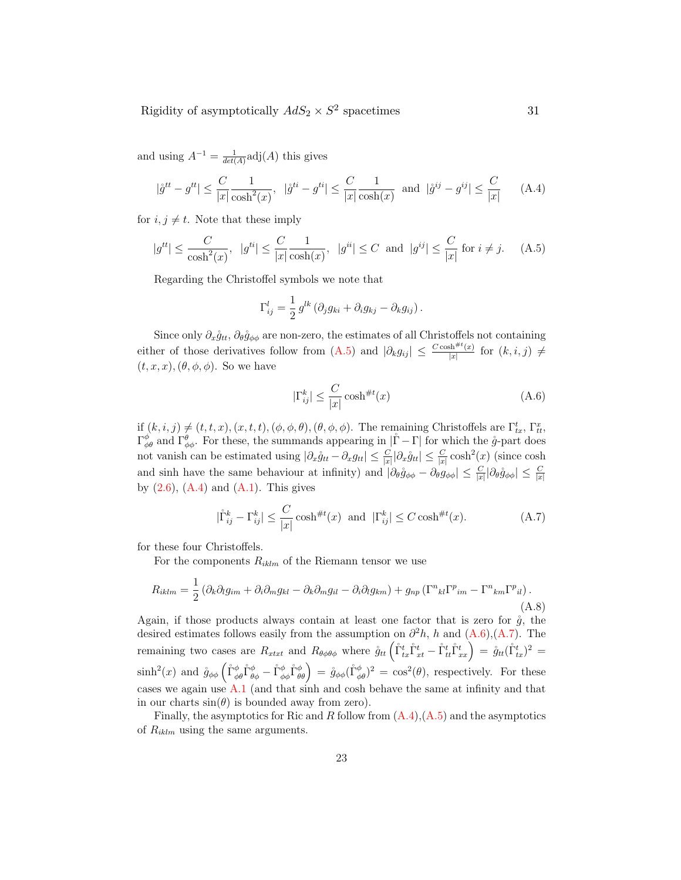and using  $A^{-1} = \frac{1}{\det(A)} \text{adj}(A)$  this gives

$$
|\mathring{g}^{tt} - g^{tt}| \le \frac{C}{|x|} \frac{1}{\cosh^2(x)}, \quad |\mathring{g}^{ti} - g^{ti}| \le \frac{C}{|x|} \frac{1}{\cosh(x)} \quad \text{and} \quad |\mathring{g}^{ij} - g^{ij}| \le \frac{C}{|x|} \tag{A.4}
$$

for  $i, j \neq t$ . Note that these imply

$$
|g^{tt}| \le \frac{C}{\cosh^2(x)}, \ |g^{ti}| \le \frac{C}{|x|} \frac{1}{\cosh(x)}, \ |g^{ii}| \le C \text{ and } |g^{ij}| \le \frac{C}{|x|} \text{ for } i \ne j. \tag{A.5}
$$

Regarding the Christoffel symbols we note that

$$
\Gamma_{ij}^l = \frac{1}{2} g^{lk} \left( \partial_j g_{ki} + \partial_i g_{kj} - \partial_k g_{ij} \right).
$$

Since only  $\partial_x \mathring{g}_{tt}$ ,  $\partial_\theta \mathring{g}_{\phi\phi}$  are non-zero, the estimates of all Christoffels not containing either of those derivatives follow from  $(A.5)$  and  $|\partial_k g_{ij}| \leq \frac{C \cosh^{#t}(x)}{|x|}$  $\frac{\sin^{n} f(x)}{|x|}$  for  $(k, i, j) \neq$  $(t, x, x), (\theta, \phi, \phi)$ . So we have

$$
|\Gamma_{ij}^k| \le \frac{C}{|x|} \cosh^{\#t}(x) \tag{A.6}
$$

 $\inf_{\mathcal{A}} (k, i, j) \neq (t, t, x), (x, t, t), (\phi, \phi, \theta), (\theta, \phi, \phi)$ . The remaining Christoffels are  $\Gamma^t_{tx}, \Gamma^x_{tt}$ ,  $\Gamma^{\phi}_{\phi\theta}$  and  $\Gamma^{\theta}_{\phi\phi}$ . For these, the summands appearing in  $|\mathring{\Gamma}-\Gamma|$  for which the  $\mathring{g}$ -part does not vanish can be estimated using  $|\partial_x \mathring{g}_{tt} - \partial_x g_{tt}| \leq \frac{C}{|x|} |\partial_x \mathring{g}_{tt}| \leq \frac{C}{|x|} \cosh^2(x)$  (since  $\cosh^2(x)$ ) and sinh have the same behaviour at infinity) and  $|\partial_{\theta} \mathring{g}_{\phi\phi} - \partial_{\theta} g_{\phi\phi}| \leq \frac{C}{|x|} |\partial_{\theta} \mathring{g}_{\phi\phi}| \leq \frac{C}{|x|}$ by  $(2.6)$ ,  $(A.4)$  and  $(A.1)$ . This gives

$$
|\mathring{\Gamma}_{ij}^k - \Gamma_{ij}^k| \le \frac{C}{|x|} \cosh^{\#t}(x) \quad \text{and} \quad |\Gamma_{ij}^k| \le C \cosh^{\#t}(x). \tag{A.7}
$$

for these four Christoffels.

For the components  $R_{iklm}$  of the Riemann tensor we use

$$
R_{iklm} = \frac{1}{2} \left( \partial_k \partial_l g_{im} + \partial_i \partial_m g_{kl} - \partial_k \partial_m g_{il} - \partial_i \partial_l g_{km} \right) + g_{np} \left( \Gamma^n{}_{kl} \Gamma^p{}_{im} - \Gamma^n{}_{km} \Gamma^p{}_{il} \right). \tag{A.8}
$$

Again, if those products always contain at least one factor that is zero for  $\hat{g}$ , the desired estimates follows easily from the assumption on  $\partial^2 h$ , h and  $(A.6)$ ,  $(A.7)$ . The remaining two cases are  $R_{xtxt}$  and  $R_{\theta\phi\theta\phi}$  where  $\mathring{g}_{tt}(\mathring{\Gamma}_{tx}^t \mathring{\Gamma}_{xt}^t - \mathring{\Gamma}_{tt}^t \mathring{\Gamma}_{xx}^t) = \mathring{g}_{tt}(\mathring{\Gamma}_{tx}^t)^2 =$  $\sinh^2(x)$  and  $\mathring{g}_{\phi\phi}(\mathring{\Gamma}^{\phi}_{\phi\theta}\mathring{\Gamma}^{\phi}_{\theta\phi} - \mathring{\Gamma}^{\phi}_{\phi\phi}\mathring{\Gamma}^{\phi}_{\theta\theta}) = \mathring{g}_{\phi\phi}(\mathring{\Gamma}^{\phi}_{\phi\theta})^2 = \cos^2(\theta)$ , respectively. For these cases we again use A.1 (and that sinh and cosh behave the same at infinity and that in our charts  $sin(\theta)$  is bounded away from zero).

Finally, the asymptotics for Ric and R follow from  $(A.4)$ ,  $(A.5)$  and the asymptotics of  $R_{iklm}$  using the same arguments.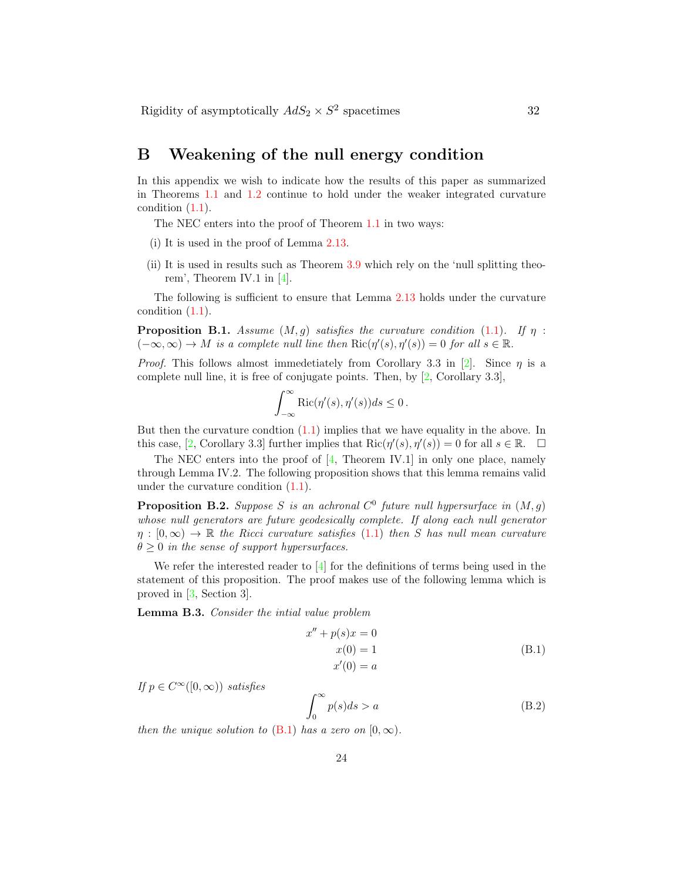# B Weakening of the null energy condition

In this appendix we wish to indicate how the results of this paper as summarized in Theorems 1.1 and 1.2 continue to hold under the weaker integrated curvature condition (1.1).

The NEC enters into the proof of Theorem 1.1 in two ways:

- (i) It is used in the proof of Lemma 2.13.
- (ii) It is used in results such as Theorem 3.9 which rely on the 'null splitting theorem', Theorem IV.1 in [4].

The following is sufficient to ensure that Lemma 2.13 holds under the curvature condition (1.1).

**Proposition B.1.** Assume  $(M, g)$  satisfies the curvature condition (1.1). If  $\eta$ :  $(-\infty, \infty) \to M$  is a complete null line then  $\text{Ric}(\eta'(s), \eta'(s)) = 0$  for all  $s \in \mathbb{R}$ .

*Proof.* This follows almost immedetiately from Corollary 3.3 in [2]. Since  $\eta$  is a complete null line, it is free of conjugate points. Then, by [2, Corollary 3.3],

$$
\int_{-\infty}^{\infty} \text{Ric}(\eta'(s), \eta'(s))ds \le 0.
$$

But then the curvature condtion  $(1.1)$  implies that we have equality in the above. In this case, [2, Corollary 3.3] further implies that  $\text{Ric}(\eta'(s), \eta'(s)) = 0$  for all  $s \in \mathbb{R}$ .  $\Box$ 

The NEC enters into the proof of  $[4,$  Theorem IV.1 in only one place, namely through Lemma IV.2. The following proposition shows that this lemma remains valid under the curvature condition (1.1).

**Proposition B.2.** Suppose S is an achronal  $C^0$  future null hypersurface in  $(M, g)$ whose null generators are future geodesically complete. If along each null generator  $\eta : [0, \infty) \to \mathbb{R}$  the Ricci curvature satisfies (1.1) then S has null mean curvature  $\theta \geq 0$  in the sense of support hypersurfaces.

We refer the interested reader to  $[4]$  for the definitions of terms being used in the statement of this proposition. The proof makes use of the following lemma which is proved in [3, Section 3].

Lemma B.3. Consider the intial value problem

$$
x'' + p(s)x = 0
$$
  
\n
$$
x(0) = 1
$$
  
\n
$$
x'(0) = a
$$
\n(B.1)

If  $p \in C^{\infty}([0,\infty))$  satisfies

$$
\int_0^\infty p(s)ds > a \tag{B.2}
$$

then the unique solution to (B.1) has a zero on [0,  $\infty$ ).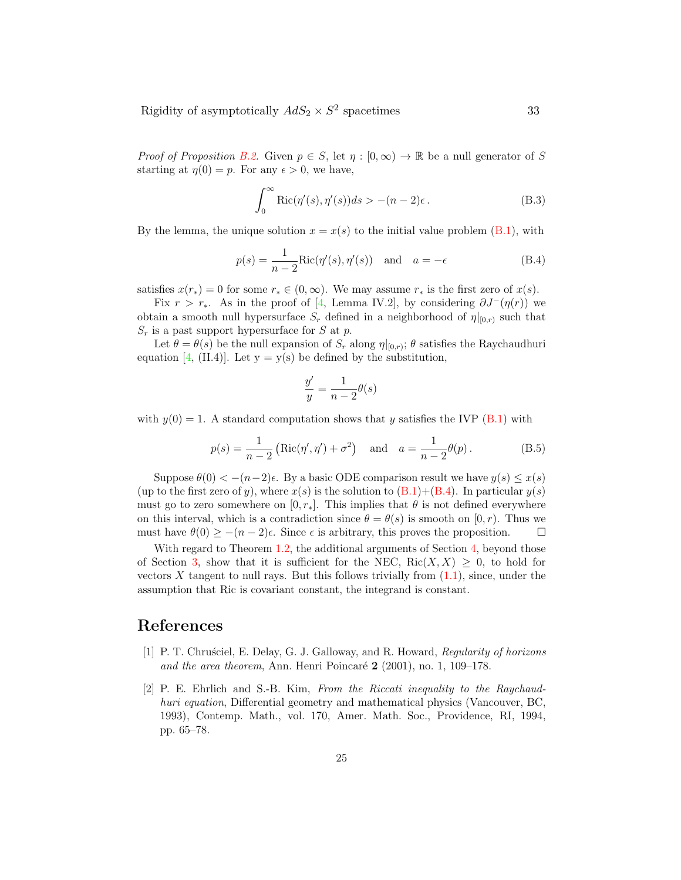Proof of Proposition B.2. Given  $p \in S$ , let  $\eta : [0, \infty) \to \mathbb{R}$  be a null generator of S starting at  $\eta(0) = p$ . For any  $\epsilon > 0$ , we have,

$$
\int_0^\infty \text{Ric}(\eta'(s), \eta'(s))ds > -(n-2)\epsilon.
$$
 (B.3)

By the lemma, the unique solution  $x = x(s)$  to the initial value problem (B.1), with

$$
p(s) = \frac{1}{n-2} \text{Ric}(\eta'(s), \eta'(s)) \quad \text{and} \quad a = -\epsilon \tag{B.4}
$$

satisfies  $x(r_*) = 0$  for some  $r_* \in (0, \infty)$ . We may assume  $r_*$  is the first zero of  $x(s)$ .

Fix  $r > r_*$ . As in the proof of [4, Lemma IV.2], by considering  $\partial J^-(\eta(r))$  we obtain a smooth null hypersurface  $S_r$  defined in a neighborhood of  $\eta|_{[0,r)}$  such that  $S_r$  is a past support hypersurface for S at p.

Let  $\theta = \theta(s)$  be the null expansion of  $S_r$  along  $\eta|_{[0,r)}$ ;  $\theta$  satisfies the Raychaudhuri equation [4, (II.4)]. Let  $y = y(s)$  be defined by the substitution,

$$
\frac{y'}{y} = \frac{1}{n-2}\theta(s)
$$

with  $y(0) = 1$ . A standard computation shows that y satisfies the IVP (B.1) with

$$
p(s) = \frac{1}{n-2} \left( \text{Ric}(\eta', \eta') + \sigma^2 \right)
$$
 and  $a = \frac{1}{n-2} \theta(p)$ . (B.5)

Suppose  $\theta(0) < -(n-2)\epsilon$ . By a basic ODE comparison result we have  $y(s) \leq x(s)$ (up to the first zero of y), where  $x(s)$  is the solution to  $(B.1)+(B.4)$ . In particular  $y(s)$ must go to zero somewhere on  $[0, r_*]$ . This implies that  $\theta$  is not defined everywhere on this interval, which is a contradiction since  $\theta = \theta(s)$  is smooth on  $[0, r)$ . Thus we must have  $\theta(0) \geq -(n-2)\epsilon$ . Since  $\epsilon$  is arbitrary, this proves the proposition.  $\square$ 

With regard to Theorem 1.2, the additional arguments of Section 4, beyond those of Section 3, show that it is sufficient for the NEC,  $Ric(X, X) \geq 0$ , to hold for vectors  $X$  tangent to null rays. But this follows trivially from  $(1.1)$ , since, under the assumption that Ric is covariant constant, the integrand is constant.

## References

- [1] P. T. Chrusciel, E. Delay, G. J. Galloway, and R. Howard, Regularity of horizons and the area theorem, Ann. Henri Poincaré  $2$  (2001), no. 1, 109–178.
- [2] P. E. Ehrlich and S.-B. Kim, From the Riccati inequality to the Raychaudhuri equation, Differential geometry and mathematical physics (Vancouver, BC, 1993), Contemp. Math., vol. 170, Amer. Math. Soc., Providence, RI, 1994, pp. 65–78.

25